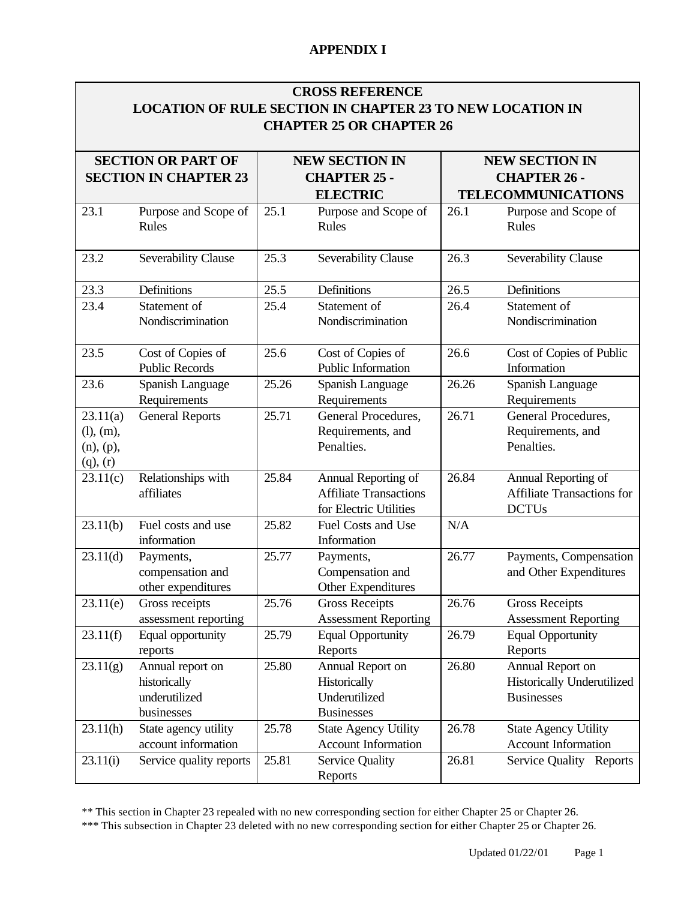| <b>CROSS REFERENCE</b>                                           |
|------------------------------------------------------------------|
| <b>LOCATION OF RULE SECTION IN CHAPTER 23 TO NEW LOCATION IN</b> |
| <b>CHAPTER 25 OR CHAPTER 26</b>                                  |

|                                                     | <b>SECTION OR PART OF</b><br><b>SECTION IN CHAPTER 23</b>       |       | <b>NEW SECTION IN</b><br><b>CHAPTER 25 -</b>                                   |       | <b>NEW SECTION IN</b><br><b>CHAPTER 26 -</b>                               |
|-----------------------------------------------------|-----------------------------------------------------------------|-------|--------------------------------------------------------------------------------|-------|----------------------------------------------------------------------------|
|                                                     |                                                                 |       | <b>ELECTRIC</b>                                                                |       | <b>TELECOMMUNICATIONS</b>                                                  |
| 23.1                                                | Purpose and Scope of<br>Rules                                   | 25.1  | Purpose and Scope of<br>Rules                                                  | 26.1  | Purpose and Scope of<br>Rules                                              |
| 23.2                                                | Severability Clause                                             | 25.3  | Severability Clause                                                            | 26.3  | Severability Clause                                                        |
| 23.3                                                | Definitions                                                     | 25.5  | Definitions                                                                    | 26.5  | Definitions                                                                |
| 23.4                                                | Statement of<br>Nondiscrimination                               | 25.4  | Statement of<br>Nondiscrimination                                              | 26.4  | Statement of<br>Nondiscrimination                                          |
| 23.5                                                | Cost of Copies of<br><b>Public Records</b>                      | 25.6  | Cost of Copies of<br>Public Information                                        | 26.6  | Cost of Copies of Public<br>Information                                    |
| 23.6                                                | Spanish Language<br>Requirements                                | 25.26 | Spanish Language<br>Requirements                                               | 26.26 | Spanish Language<br>Requirements                                           |
| 23.11(a)<br>(l), (m),<br>(n), (p),<br>$(q)$ , $(r)$ | <b>General Reports</b>                                          | 25.71 | General Procedures,<br>Requirements, and<br>Penalties.                         | 26.71 | General Procedures,<br>Requirements, and<br>Penalties.                     |
| 23.11(c)                                            | Relationships with<br>affiliates                                | 25.84 | Annual Reporting of<br><b>Affiliate Transactions</b><br>for Electric Utilities | 26.84 | Annual Reporting of<br>Affiliate Transactions for<br><b>DCTUs</b>          |
| 23.11(b)                                            | Fuel costs and use<br>information                               | 25.82 | Fuel Costs and Use<br>Information                                              | N/A   |                                                                            |
| 23.11(d)                                            | Payments,<br>compensation and<br>other expenditures             | 25.77 | Payments,<br>Compensation and<br>Other Expenditures                            | 26.77 | Payments, Compensation<br>and Other Expenditures                           |
| 23.11(e)                                            | Gross receipts<br>assessment reporting                          | 25.76 | <b>Gross Receipts</b><br><b>Assessment Reporting</b>                           | 26.76 | <b>Gross Receipts</b><br><b>Assessment Reporting</b>                       |
| 23.11(f)                                            | Equal opportunity<br>reports                                    | 25.79 | <b>Equal Opportunity</b><br>Reports                                            | 26.79 | <b>Equal Opportunity</b><br>Reports                                        |
| 23.11(g)                                            | Annual report on<br>historically<br>underutilized<br>businesses | 25.80 | Annual Report on<br>Historically<br>Underutilized<br><b>Businesses</b>         | 26.80 | Annual Report on<br><b>Historically Underutilized</b><br><b>Businesses</b> |
| 23.11(h)                                            | State agency utility<br>account information                     | 25.78 | <b>State Agency Utility</b><br><b>Account Information</b>                      | 26.78 | <b>State Agency Utility</b><br><b>Account Information</b>                  |
| 23.11(i)                                            | Service quality reports                                         | 25.81 | <b>Service Quality</b><br>Reports                                              | 26.81 | Service Quality Reports                                                    |

\*\* This section in Chapter 23 repealed with no new corresponding section for either Chapter 25 or Chapter 26.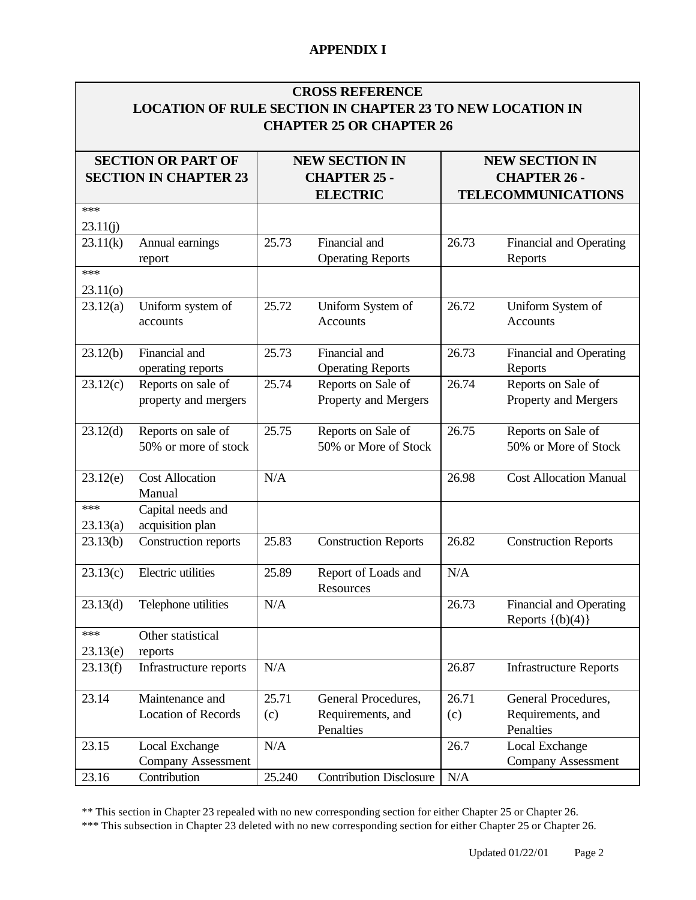|                                                           | <b>CROSS REFERENCE</b><br><b>LOCATION OF RULE SECTION IN CHAPTER 23 TO NEW LOCATION IN</b><br><b>CHAPTER 25 OR CHAPTER 26</b> |                                              |  |  |
|-----------------------------------------------------------|-------------------------------------------------------------------------------------------------------------------------------|----------------------------------------------|--|--|
| <b>SECTION OR PART OF</b><br><b>SECTION IN CHAPTER 23</b> | <b>NEW SECTION IN</b><br><b>CHAPTER 25 -</b>                                                                                  | <b>NEW SECTION IN</b><br><b>CHAPTER 26 -</b> |  |  |
|                                                           | <b>ELECTRIC</b>                                                                                                               | <b>TELECOMMUNICATIONS</b>                    |  |  |
| ***                                                       |                                                                                                                               |                                              |  |  |
| 23.11(j)                                                  |                                                                                                                               |                                              |  |  |
| 23.11(k)<br>Annual earnings<br>report                     | 25.73<br>Financial and<br><b>Operating Reports</b>                                                                            | 26.73<br>Financial and Operating<br>Reports  |  |  |
| ***                                                       |                                                                                                                               |                                              |  |  |
| 23.11(0)                                                  |                                                                                                                               |                                              |  |  |
| 23.12(a)<br>Uniform system of<br>accounts                 | 25.72<br>Uniform System of<br><b>Accounts</b>                                                                                 | 26.72<br>Uniform System of<br>Accounts       |  |  |

Operating Reports

Property and Mergers

50% or More of Stock

N/A 26.98 Cost Allocation Manual

N/A

26.71 (c)

N/A 26.7 Local Exchange

25.73 Financial and

25.74 Reports on Sale of

25.75 Reports on Sale of

23.13(b) Construction reports 25.83 Construction Reports 26.82 Construction Reports

**Resources** 

23.13(d) Telephone utilities N/A 26.73 Financial and Operating

23.13(f) Infrastructure reports N/A 26.87 Infrastructure Reports

General Procedures, Requirements, and

23.12(b) Financial and

23.12(c) Reports on sale of

23.12(d) Reports on sale of

23.12(e) Cost Allocation Manual

\*\*\* 23.13(a)

\*\*\* 23.13(e) operating reports

property and mergers

50% or more of stock

Capital needs and acquisition plan

Other statistical

Location of Records

Company Assessment

reports

23.14 Maintenance and

23.15 Local Exchange

 $23.13(c)$  Electric utilities 25.89 Report of Loads and

25.71 (c)

23.16 Contribution 25.240 Contribution Disclosure N/A

\*\* This section in Chapter 23 repealed with no new corresponding section for either Chapter 25 or Chapter 26. \*\*\* This subsection in Chapter 23 deleted with no new corresponding section for either Chapter 25 or Chapter 26.

Penalties

**Penalties** 

26.73 Financial and Operating Reports

Property and Mergers

50% or More of Stock

Reports  $\{(b)(4)\}\$ 

General Procedures, Requirements, and

Company Assessment

26.74 Reports on Sale of

26.75 Reports on Sale of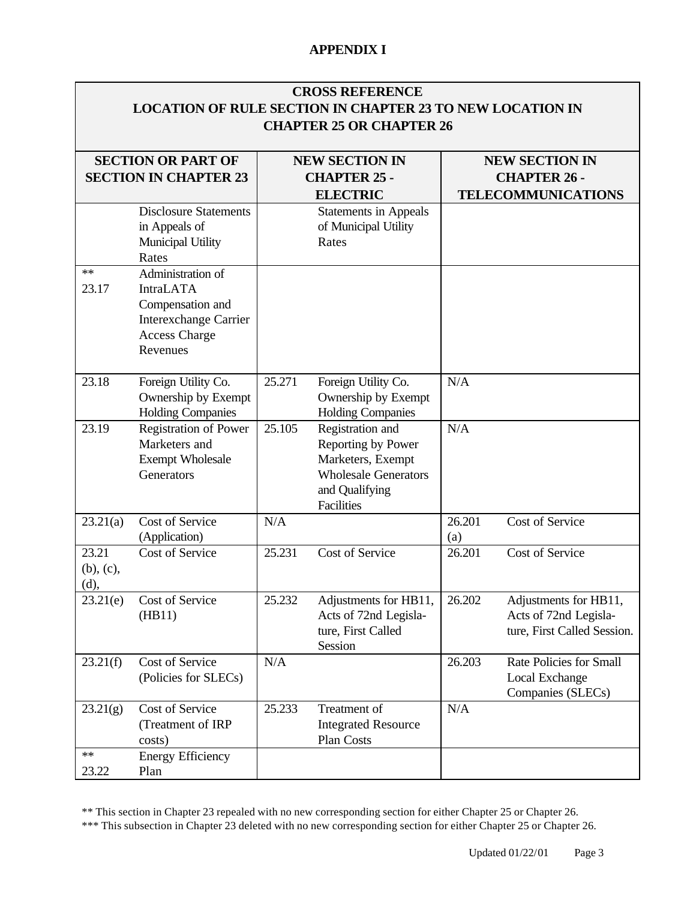| <b>CROSS REFERENCE</b>                                           |  |
|------------------------------------------------------------------|--|
| <b>LOCATION OF RULE SECTION IN CHAPTER 23 TO NEW LOCATION IN</b> |  |
| <b>CHAPTER 25 OR CHAPTER 26</b>                                  |  |

|                                  | <b>SECTION OR PART OF</b><br><b>SECTION IN CHAPTER 23</b>                                                                     |        | <b>NEW SECTION IN</b><br><b>CHAPTER 25 -</b><br><b>ELECTRIC</b>                                                            |               | <b>NEW SECTION IN</b><br><b>CHAPTER 26 -</b><br><b>TELECOMMUNICATIONS</b>     |
|----------------------------------|-------------------------------------------------------------------------------------------------------------------------------|--------|----------------------------------------------------------------------------------------------------------------------------|---------------|-------------------------------------------------------------------------------|
|                                  | <b>Disclosure Statements</b><br>in Appeals of<br>Municipal Utility<br>Rates                                                   |        | <b>Statements in Appeals</b><br>of Municipal Utility<br>Rates                                                              |               |                                                                               |
| **<br>23.17                      | Administration of<br><b>IntraLATA</b><br>Compensation and<br><b>Interexchange Carrier</b><br><b>Access Charge</b><br>Revenues |        |                                                                                                                            |               |                                                                               |
| 23.18                            | Foreign Utility Co.<br>Ownership by Exempt<br><b>Holding Companies</b>                                                        | 25.271 | Foreign Utility Co.<br>Ownership by Exempt<br><b>Holding Companies</b>                                                     | N/A           |                                                                               |
| 23.19                            | <b>Registration of Power</b><br>Marketers and<br><b>Exempt Wholesale</b><br>Generators                                        | 25.105 | Registration and<br>Reporting by Power<br>Marketers, Exempt<br><b>Wholesale Generators</b><br>and Qualifying<br>Facilities | N/A           |                                                                               |
| 23.21(a)                         | Cost of Service<br>(Application)                                                                                              | N/A    |                                                                                                                            | 26.201<br>(a) | Cost of Service                                                               |
| 23.21<br>$(b)$ , $(c)$ ,<br>(d), | Cost of Service                                                                                                               | 25.231 | Cost of Service                                                                                                            | 26.201        | Cost of Service                                                               |
| 23.21(e)                         | Cost of Service<br>(HB11)                                                                                                     | 25.232 | Adjustments for HB11,<br>Acts of 72nd Legisla-<br>ture, First Called<br>Session                                            | 26.202        | Adjustments for HB11,<br>Acts of 72nd Legisla-<br>ture, First Called Session. |
| 23.21(f)                         | Cost of Service<br>(Policies for SLECs)                                                                                       | N/A    |                                                                                                                            | 26.203        | Rate Policies for Small<br>Local Exchange<br>Companies (SLECs)                |
| 23.21(g)                         | Cost of Service<br>(Treatment of IRP<br>costs)                                                                                | 25.233 | Treatment of<br><b>Integrated Resource</b><br>Plan Costs                                                                   | N/A           |                                                                               |
| **<br>23.22                      | <b>Energy Efficiency</b><br>Plan                                                                                              |        |                                                                                                                            |               |                                                                               |

\*\* This section in Chapter 23 repealed with no new corresponding section for either Chapter 25 or Chapter 26.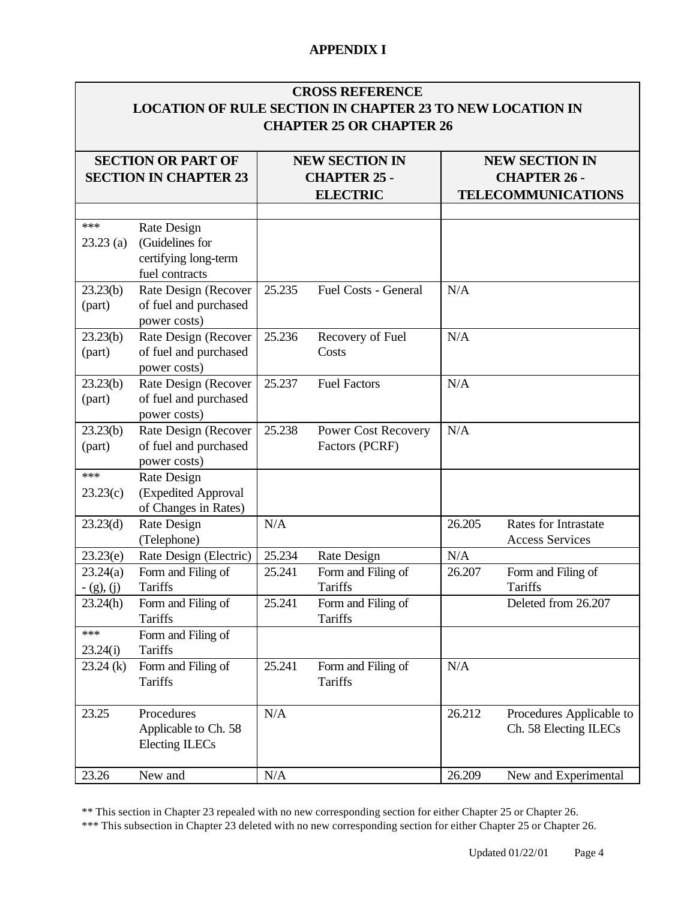|                          |                                                                          |        | <b>CROSS REFERENCE</b><br><b>LOCATION OF RULE SECTION IN CHAPTER 23 TO NEW LOCATION IN</b><br><b>CHAPTER 25 OR CHAPTER 26</b> |        |                                                       |                                                                           |
|--------------------------|--------------------------------------------------------------------------|--------|-------------------------------------------------------------------------------------------------------------------------------|--------|-------------------------------------------------------|---------------------------------------------------------------------------|
|                          | <b>SECTION OR PART OF</b><br><b>SECTION IN CHAPTER 23</b>                |        | <b>NEW SECTION IN</b><br><b>CHAPTER 25 -</b><br><b>ELECTRIC</b>                                                               |        |                                                       | <b>NEW SECTION IN</b><br><b>CHAPTER 26 -</b><br><b>TELECOMMUNICATIONS</b> |
| ***<br>$23.23$ (a)       | Rate Design<br>(Guidelines for<br>certifying long-term<br>fuel contracts |        |                                                                                                                               |        |                                                       |                                                                           |
| 23.23(b)<br>(part)       | Rate Design (Recover<br>of fuel and purchased<br>power costs)            | 25.235 | Fuel Costs - General                                                                                                          | N/A    |                                                       |                                                                           |
| 23.23(b)<br>(part)       | Rate Design (Recover<br>of fuel and purchased<br>power costs)            | 25.236 | Recovery of Fuel<br>Costs                                                                                                     | N/A    |                                                       |                                                                           |
| 23.23(b)<br>(part)       | Rate Design (Recover<br>of fuel and purchased<br>power costs)            | 25.237 | <b>Fuel Factors</b>                                                                                                           | N/A    |                                                       |                                                                           |
| 23.23(b)<br>(part)       | Rate Design (Recover<br>of fuel and purchased<br>power costs)            | 25.238 | Power Cost Recovery<br>Factors (PCRF)                                                                                         | N/A    |                                                       |                                                                           |
| ***<br>23.23(c)          | Rate Design<br>(Expedited Approval<br>of Changes in Rates)               |        |                                                                                                                               |        |                                                       |                                                                           |
| 23.23(d)                 | Rate Design<br>(Telephone)                                               | N/A    |                                                                                                                               | 26.205 | <b>Rates for Intrastate</b><br><b>Access Services</b> |                                                                           |
| 23.23(e)                 | Rate Design (Electric)                                                   | 25.234 | Rate Design                                                                                                                   | N/A    |                                                       |                                                                           |
| 23.24(a)<br>$- (g), (j)$ | Form and Filing of<br><b>Tariffs</b>                                     | 25.241 | Form and Filing of<br>Tariffs                                                                                                 | 26.207 | Form and Filing of<br>Tariffs                         |                                                                           |
| 23.24(h)                 | Form and Filing of<br>Tariffs                                            | 25.241 | Form and Filing of<br><b>Tariffs</b>                                                                                          |        | Deleted from 26.207                                   |                                                                           |
| ***<br>23.24(i)          | Form and Filing of<br>Tariffs                                            |        |                                                                                                                               |        |                                                       |                                                                           |
| $23.24$ (k)              | Form and Filing of<br>Tariffs                                            | 25.241 | Form and Filing of<br><b>Tariffs</b>                                                                                          | N/A    |                                                       |                                                                           |
| 23.25                    | Procedures<br>Applicable to Ch. 58<br>Electing ILECs                     | N/A    |                                                                                                                               | 26.212 | Procedures Applicable to<br>Ch. 58 Electing ILECs     |                                                                           |
| 23.26                    | New and                                                                  | N/A    |                                                                                                                               | 26.209 | New and Experimental                                  |                                                                           |

\*\* This section in Chapter 23 repealed with no new corresponding section for either Chapter 25 or Chapter 26.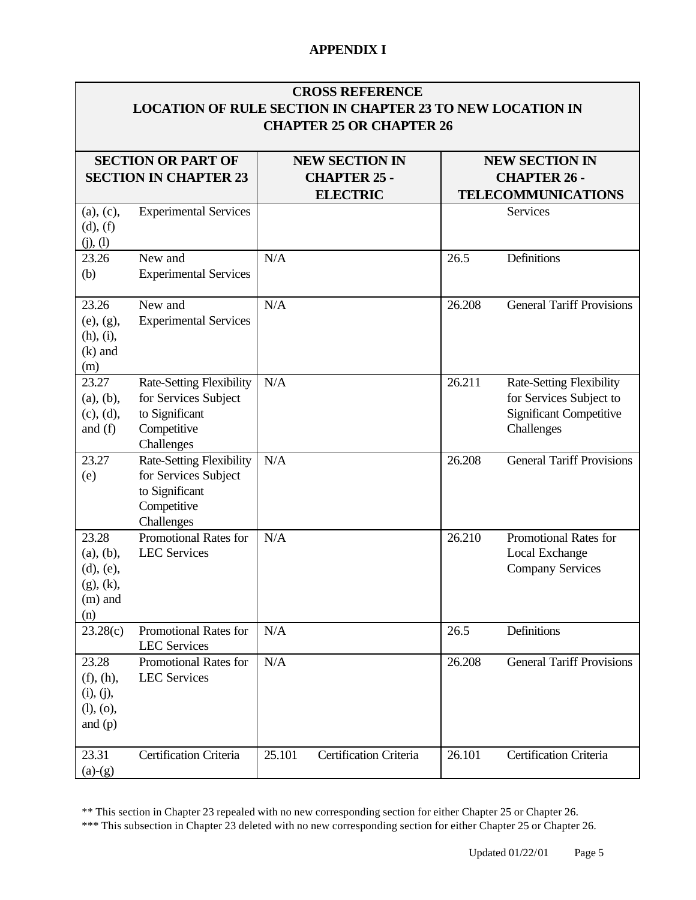|                                                                        | <b>LOCATION OF RULE SECTION IN CHAPTER 23 TO NEW LOCATION IN</b>                                       |        | <b>CROSS REFERENCE</b><br><b>CHAPTER 25 OR CHAPTER 26</b>       |                                                                           |                                                                                                            |  |
|------------------------------------------------------------------------|--------------------------------------------------------------------------------------------------------|--------|-----------------------------------------------------------------|---------------------------------------------------------------------------|------------------------------------------------------------------------------------------------------------|--|
|                                                                        | <b>SECTION OR PART OF</b><br><b>SECTION IN CHAPTER 23</b>                                              |        | <b>NEW SECTION IN</b><br><b>CHAPTER 25 -</b><br><b>ELECTRIC</b> | <b>NEW SECTION IN</b><br><b>CHAPTER 26 -</b><br><b>TELECOMMUNICATIONS</b> |                                                                                                            |  |
| (a), (c),<br>(d), (f)<br>(j), (l)                                      | <b>Experimental Services</b>                                                                           |        |                                                                 |                                                                           | Services                                                                                                   |  |
| 23.26<br>(b)                                                           | New and<br><b>Experimental Services</b>                                                                | N/A    |                                                                 | 26.5                                                                      | Definitions                                                                                                |  |
| 23.26<br>(e), (g),<br>(h), (i),<br>$(k)$ and<br>(m)                    | New and<br><b>Experimental Services</b>                                                                | N/A    |                                                                 | 26.208                                                                    | <b>General Tariff Provisions</b>                                                                           |  |
| 23.27<br>(a), (b),<br>(c), (d),<br>and $(f)$                           | <b>Rate-Setting Flexibility</b><br>for Services Subject<br>to Significant<br>Competitive<br>Challenges | N/A    |                                                                 | 26.211                                                                    | <b>Rate-Setting Flexibility</b><br>for Services Subject to<br><b>Significant Competitive</b><br>Challenges |  |
| 23.27<br>(e)                                                           | Rate-Setting Flexibility<br>for Services Subject<br>to Significant<br>Competitive<br>Challenges        | N/A    |                                                                 | 26.208                                                                    | <b>General Tariff Provisions</b>                                                                           |  |
| 23.28<br>(a), (b),<br>$(d)$ , $(e)$ ,<br>(g), (k),<br>$(m)$ and<br>(n) | <b>Promotional Rates for</b><br><b>LEC</b> Services                                                    | N/A    |                                                                 | 26.210                                                                    | Promotional Rates for<br>Local Exchange<br><b>Company Services</b>                                         |  |
| 23.28(c)                                                               | Promotional Rates for<br><b>LEC</b> Services                                                           | N/A    |                                                                 | 26.5                                                                      | Definitions                                                                                                |  |
| 23.28<br>(f), (h),<br>(i), (j),<br>(l), (o),<br>and $(p)$              | Promotional Rates for<br><b>LEC Services</b>                                                           | N/A    |                                                                 | 26.208                                                                    | <b>General Tariff Provisions</b>                                                                           |  |
| 23.31<br>$(a)-(g)$                                                     | Certification Criteria                                                                                 | 25.101 | Certification Criteria                                          | 26.101                                                                    | Certification Criteria                                                                                     |  |

\*\* This section in Chapter 23 repealed with no new corresponding section for either Chapter 25 or Chapter 26.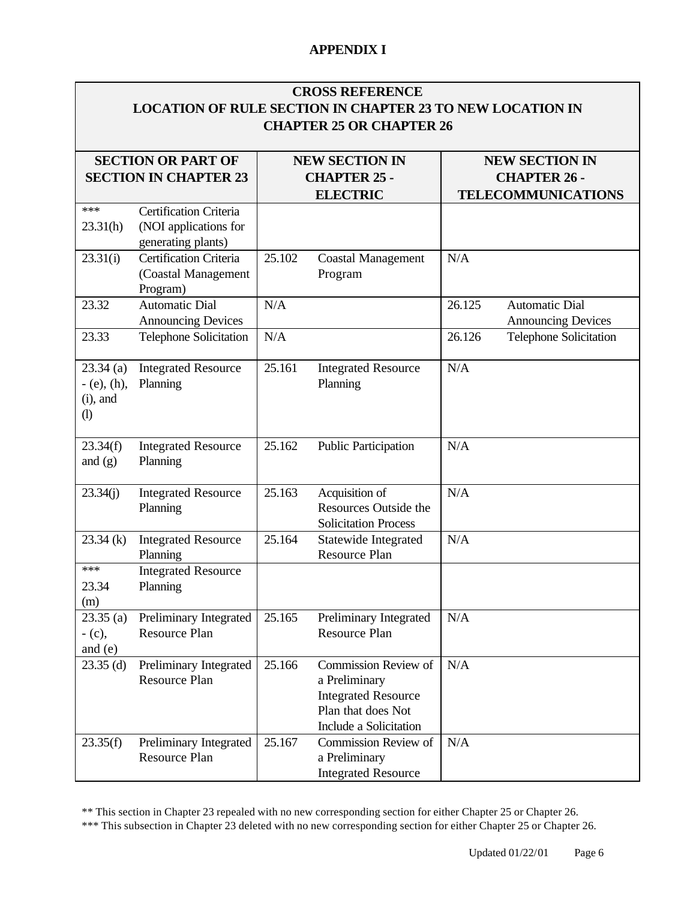## **CROSS REFERENCE LOCATION OF RULE SECTION IN CHAPTER 23 TO NEW LOCATION IN CHAPTER 25 OR CHAPTER 26**

|                                                                           | <b>SECTION OR PART OF</b><br><b>SECTION IN CHAPTER 23</b>             |        | <b>NEW SECTION IN</b><br><b>CHAPTER 25 -</b><br><b>ELECTRIC</b>                                                     |        | <b>NEW SECTION IN</b><br><b>CHAPTER 26 -</b><br><b>TELECOMMUNICATIONS</b> |
|---------------------------------------------------------------------------|-----------------------------------------------------------------------|--------|---------------------------------------------------------------------------------------------------------------------|--------|---------------------------------------------------------------------------|
| ***<br>23.31(h)                                                           | Certification Criteria<br>(NOI applications for<br>generating plants) |        |                                                                                                                     |        |                                                                           |
| 23.31(i)                                                                  | Certification Criteria<br>(Coastal Management<br>Program)             | 25.102 | <b>Coastal Management</b><br>Program                                                                                | N/A    |                                                                           |
| 23.32                                                                     | <b>Automatic Dial</b><br><b>Announcing Devices</b>                    | N/A    |                                                                                                                     | 26.125 | <b>Automatic Dial</b><br><b>Announcing Devices</b>                        |
| 23.33                                                                     | <b>Telephone Solicitation</b>                                         | N/A    |                                                                                                                     | 26.126 | <b>Telephone Solicitation</b>                                             |
| $23.34$ (a)<br>$-$ (e), (h),<br>$(i)$ , and<br>$\left( \mathrm{l}\right)$ | <b>Integrated Resource</b><br>Planning                                | 25.161 | <b>Integrated Resource</b><br>Planning                                                                              | N/A    |                                                                           |
| 23.34(f)<br>and $(g)$                                                     | <b>Integrated Resource</b><br>Planning                                | 25.162 | Public Participation                                                                                                | N/A    |                                                                           |
| 23.34(j)                                                                  | <b>Integrated Resource</b><br>Planning                                | 25.163 | Acquisition of<br><b>Resources Outside the</b><br><b>Solicitation Process</b>                                       | N/A    |                                                                           |
| 23.34(k)                                                                  | <b>Integrated Resource</b><br>Planning                                | 25.164 | Statewide Integrated<br><b>Resource Plan</b>                                                                        | N/A    |                                                                           |
| ***<br>23.34<br>(m)                                                       | <b>Integrated Resource</b><br>Planning                                |        |                                                                                                                     |        |                                                                           |
| 23.35(a)<br>$-$ (c),<br>and $(e)$                                         | Preliminary Integrated<br>Resource Plan                               | 25.165 | Preliminary Integrated<br><b>Resource Plan</b>                                                                      | N/A    |                                                                           |
| $23.35$ (d)                                                               | Preliminary Integrated<br>Resource Plan                               | 25.166 | Commission Review of<br>a Preliminary<br><b>Integrated Resource</b><br>Plan that does Not<br>Include a Solicitation | N/A    |                                                                           |
| 23.35(f)                                                                  | Preliminary Integrated<br>Resource Plan                               | 25.167 | Commission Review of<br>a Preliminary<br><b>Integrated Resource</b>                                                 | N/A    |                                                                           |

\*\* This section in Chapter 23 repealed with no new corresponding section for either Chapter 25 or Chapter 26.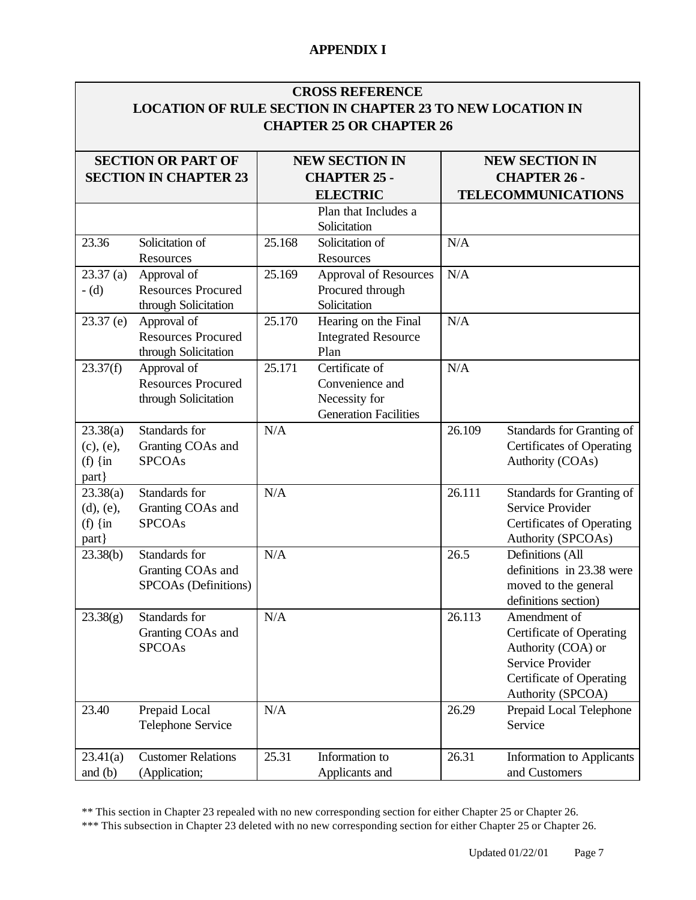|                                                     |                                                                  |        | <b>CROSS REFERENCE</b><br><b>LOCATION OF RULE SECTION IN CHAPTER 23 TO NEW LOCATION IN</b><br><b>CHAPTER 25 OR CHAPTER 26</b> |                                                                           |                                                                                                                                            |
|-----------------------------------------------------|------------------------------------------------------------------|--------|-------------------------------------------------------------------------------------------------------------------------------|---------------------------------------------------------------------------|--------------------------------------------------------------------------------------------------------------------------------------------|
|                                                     | <b>SECTION OR PART OF</b><br><b>SECTION IN CHAPTER 23</b>        |        | <b>NEW SECTION IN</b><br><b>CHAPTER 25 -</b><br><b>ELECTRIC</b>                                                               | <b>NEW SECTION IN</b><br><b>CHAPTER 26 -</b><br><b>TELECOMMUNICATIONS</b> |                                                                                                                                            |
|                                                     |                                                                  |        | Plan that Includes a<br>Solicitation                                                                                          |                                                                           |                                                                                                                                            |
| 23.36                                               | Solicitation of<br>Resources                                     | 25.168 | Solicitation of<br>Resources                                                                                                  | N/A                                                                       |                                                                                                                                            |
| 23.37(a)<br>$-d$                                    | Approval of<br><b>Resources Procured</b><br>through Solicitation | 25.169 | <b>Approval of Resources</b><br>Procured through<br>Solicitation                                                              | N/A                                                                       |                                                                                                                                            |
| $23.37$ (e)                                         | Approval of<br><b>Resources Procured</b><br>through Solicitation | 25.170 | Hearing on the Final<br><b>Integrated Resource</b><br>Plan                                                                    | N/A                                                                       |                                                                                                                                            |
| 23.37(f)                                            | Approval of<br><b>Resources Procured</b><br>through Solicitation | 25.171 | Certificate of<br>Convenience and<br>Necessity for<br><b>Generation Facilities</b>                                            | N/A                                                                       |                                                                                                                                            |
| 23.38(a)<br>(c), (e),<br>(f) $\{in$<br>part }       | Standards for<br>Granting COAs and<br><b>SPCOAs</b>              | N/A    |                                                                                                                               | 26.109                                                                    | Standards for Granting of<br><b>Certificates of Operating</b><br>Authority (COAs)                                                          |
| 23.38(a)<br>$(d)$ , $(e)$ ,<br>(f) $\{in$<br>part } | Standards for<br>Granting COAs and<br><b>SPCOAs</b>              | N/A    |                                                                                                                               | 26.111                                                                    | Standards for Granting of<br>Service Provider<br><b>Certificates of Operating</b><br>Authority (SPCOAs)                                    |
| 23.38(b)                                            | Standards for<br>Granting COAs and<br>SPCOAs (Definitions)       | N/A    |                                                                                                                               | 26.5                                                                      | Definitions (All<br>definitions in 23.38 were<br>moved to the general<br>definitions section)                                              |
| 23.38(g)                                            | Standards for<br>Granting COAs and<br><b>SPCOAs</b>              | N/A    |                                                                                                                               | 26.113                                                                    | Amendment of<br><b>Certificate of Operating</b><br>Authority (COA) or<br>Service Provider<br>Certificate of Operating<br>Authority (SPCOA) |
| 23.40                                               | Prepaid Local<br><b>Telephone Service</b>                        | N/A    |                                                                                                                               | 26.29                                                                     | Prepaid Local Telephone<br>Service                                                                                                         |
| 23.41(a)<br>and $(b)$                               | <b>Customer Relations</b><br>(Application;                       | 25.31  | Information to<br>Applicants and                                                                                              | 26.31                                                                     | <b>Information to Applicants</b><br>and Customers                                                                                          |

\*\* This section in Chapter 23 repealed with no new corresponding section for either Chapter 25 or Chapter 26.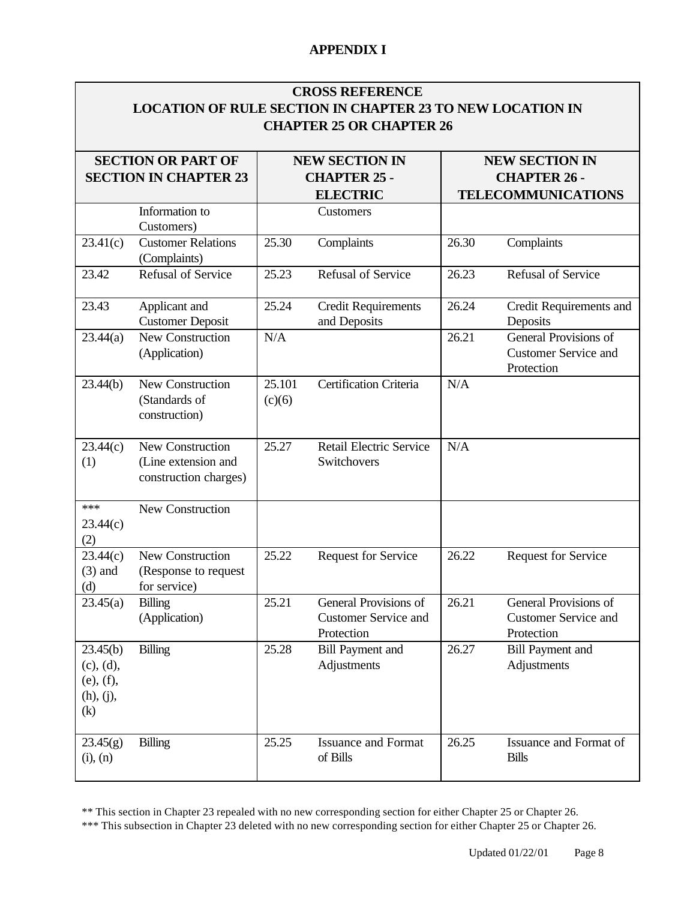### **CROSS REFERENCE LOCATION OF RULE SECTION IN CHAPTER 23 TO NEW LOCATION IN CHAPTER 25 OR CHAPTER 26**

|                                                        | <b>SECTION OR PART OF</b><br><b>SECTION IN CHAPTER 23</b>        |                  | <b>NEW SECTION IN</b><br><b>CHAPTER 25 -</b><br><b>ELECTRIC</b>    | <b>NEW SECTION IN</b><br><b>CHAPTER 26 -</b><br><b>TELECOMMUNICATIONS</b> |                                                                    |
|--------------------------------------------------------|------------------------------------------------------------------|------------------|--------------------------------------------------------------------|---------------------------------------------------------------------------|--------------------------------------------------------------------|
|                                                        | Information to<br>Customers)                                     |                  | Customers                                                          |                                                                           |                                                                    |
| 23.41(c)                                               | <b>Customer Relations</b><br>(Complaints)                        | 25.30            | Complaints                                                         | 26.30                                                                     | Complaints                                                         |
| 23.42                                                  | <b>Refusal of Service</b>                                        | 25.23            | Refusal of Service                                                 | 26.23                                                                     | Refusal of Service                                                 |
| 23.43                                                  | Applicant and<br><b>Customer Deposit</b>                         | 25.24            | <b>Credit Requirements</b><br>and Deposits                         | 26.24                                                                     | Credit Requirements and<br>Deposits                                |
| 23.44(a)                                               | New Construction<br>(Application)                                | N/A              |                                                                    | 26.21                                                                     | General Provisions of<br><b>Customer Service and</b><br>Protection |
| 23.44(b)                                               | New Construction<br>(Standards of<br>construction)               | 25.101<br>(c)(6) | Certification Criteria                                             | N/A                                                                       |                                                                    |
| 23.44(c)<br>(1)                                        | New Construction<br>(Line extension and<br>construction charges) | 25.27            | <b>Retail Electric Service</b><br>Switchovers                      | N/A                                                                       |                                                                    |
| ***<br>23.44(c)<br>(2)                                 | New Construction                                                 |                  |                                                                    |                                                                           |                                                                    |
| 23.44(c)<br>$(3)$ and<br>(d)                           | New Construction<br>(Response to request<br>for service)         | 25.22            | <b>Request for Service</b>                                         | 26.22                                                                     | <b>Request for Service</b>                                         |
| 23.45(a)                                               | <b>Billing</b><br>(Application)                                  | 25.21            | General Provisions of<br><b>Customer Service and</b><br>Protection | 26.21                                                                     | General Provisions of<br><b>Customer Service and</b><br>Protection |
| 23.45(b)<br>(c), (d),<br>(e), (f),<br>(h), (j),<br>(k) | <b>Billing</b>                                                   | 25.28            | <b>Bill Payment and</b><br>Adjustments                             | 26.27                                                                     | <b>Bill Payment and</b><br>Adjustments                             |
| 23.45(g)<br>$(i)$ , $(n)$                              | <b>Billing</b>                                                   | 25.25            | <b>Issuance and Format</b><br>of Bills                             | 26.25                                                                     | Issuance and Format of<br><b>Bills</b>                             |

\*\* This section in Chapter 23 repealed with no new corresponding section for either Chapter 25 or Chapter 26.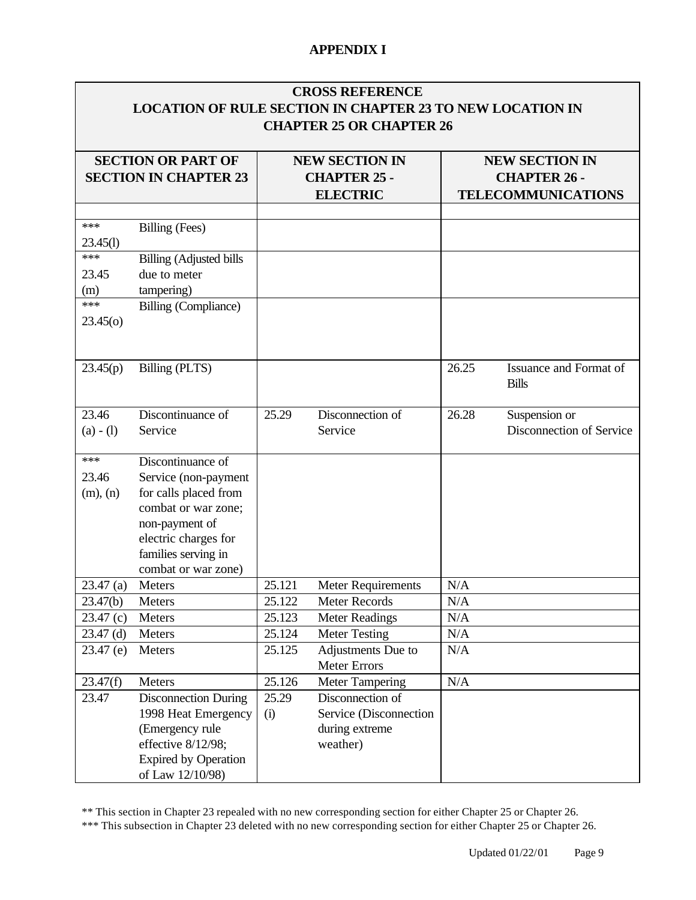|                            |                                                                                                                                                                                   |                  | <b>CROSS REFERENCE</b><br><b>LOCATION OF RULE SECTION IN CHAPTER 23 TO NEW LOCATION IN</b><br><b>CHAPTER 25 OR CHAPTER 26</b> |            |                                                                           |  |
|----------------------------|-----------------------------------------------------------------------------------------------------------------------------------------------------------------------------------|------------------|-------------------------------------------------------------------------------------------------------------------------------|------------|---------------------------------------------------------------------------|--|
|                            | <b>SECTION OR PART OF</b><br><b>SECTION IN CHAPTER 23</b>                                                                                                                         |                  | <b>NEW SECTION IN</b><br><b>CHAPTER 25 -</b><br><b>ELECTRIC</b>                                                               |            | <b>NEW SECTION IN</b><br><b>CHAPTER 26 -</b><br><b>TELECOMMUNICATIONS</b> |  |
| ***<br>23.45(l)            | Billing (Fees)                                                                                                                                                                    |                  |                                                                                                                               |            |                                                                           |  |
| ***<br>23.45<br>(m)<br>*** | <b>Billing (Adjusted bills</b><br>due to meter<br>tampering)                                                                                                                      |                  |                                                                                                                               |            |                                                                           |  |
| 23.45(0)                   | Billing (Compliance)                                                                                                                                                              |                  |                                                                                                                               |            |                                                                           |  |
| 23.45(p)                   | Billing (PLTS)                                                                                                                                                                    |                  |                                                                                                                               | 26.25      | Issuance and Format of<br><b>Bills</b>                                    |  |
| 23.46<br>$(a) - (1)$       | Discontinuance of<br>Service                                                                                                                                                      | 25.29            | Disconnection of<br>Service                                                                                                   | 26.28      | Suspension or<br>Disconnection of Service                                 |  |
| ***<br>23.46<br>(m), (n)   | Discontinuance of<br>Service (non-payment<br>for calls placed from<br>combat or war zone;<br>non-payment of<br>electric charges for<br>families serving in<br>combat or war zone) |                  |                                                                                                                               |            |                                                                           |  |
| 23.47(a)                   | Meters                                                                                                                                                                            | 25.121           | <b>Meter Requirements</b>                                                                                                     | N/A        |                                                                           |  |
| 23.47(b)                   | Meters                                                                                                                                                                            | 25.122           | Meter Records                                                                                                                 | N/A        |                                                                           |  |
| 23.47(c)                   | Meters                                                                                                                                                                            | 25.123           | <b>Meter Readings</b>                                                                                                         | N/A        |                                                                           |  |
| $23.47$ (d)<br>$23.47$ (e) | Meters<br>Meters                                                                                                                                                                  | 25.124<br>25.125 | <b>Meter Testing</b><br>Adjustments Due to<br><b>Meter Errors</b>                                                             | N/A<br>N/A |                                                                           |  |
| 23.47(f)                   | Meters                                                                                                                                                                            | 25.126           | <b>Meter Tampering</b>                                                                                                        | N/A        |                                                                           |  |
| 23.47                      | <b>Disconnection During</b><br>1998 Heat Emergency<br>(Emergency rule<br>effective 8/12/98;<br><b>Expired by Operation</b><br>of Law 12/10/98)                                    | 25.29<br>(i)     | Disconnection of<br>Service (Disconnection<br>during extreme<br>weather)                                                      |            |                                                                           |  |

\*\* This section in Chapter 23 repealed with no new corresponding section for either Chapter 25 or Chapter 26.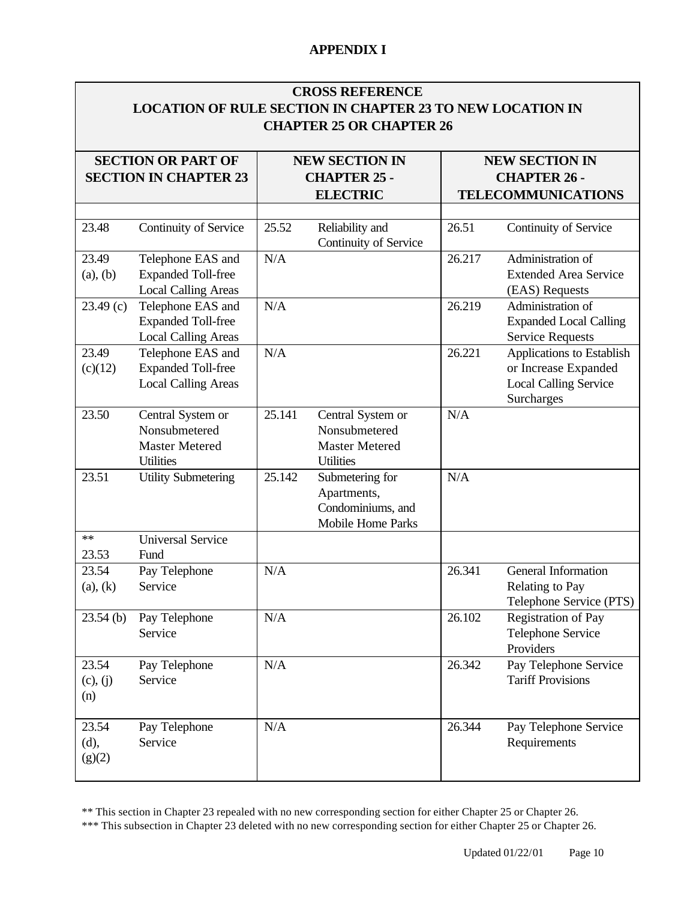| <b>CROSS REFERENCE</b>                                    |
|-----------------------------------------------------------|
| LOCATION OF RULE SECTION IN CHAPTER 23 TO NEW LOCATION IN |
| <b>CHAPTER 25 OR CHAPTER 26</b>                           |

| <b>SECTION OR PART OF</b><br><b>SECTION IN CHAPTER 23</b> |                                                                                 | <b>NEW SECTION IN</b><br><b>CHAPTER 25 -</b> |                                                                                 | <b>NEW SECTION IN</b><br><b>CHAPTER 26 -</b> |                                                                                                 |
|-----------------------------------------------------------|---------------------------------------------------------------------------------|----------------------------------------------|---------------------------------------------------------------------------------|----------------------------------------------|-------------------------------------------------------------------------------------------------|
|                                                           |                                                                                 |                                              | <b>ELECTRIC</b>                                                                 |                                              | <b>TELECOMMUNICATIONS</b>                                                                       |
|                                                           |                                                                                 |                                              |                                                                                 |                                              |                                                                                                 |
| 23.48                                                     | Continuity of Service                                                           | 25.52                                        | Reliability and<br>Continuity of Service                                        | 26.51                                        | Continuity of Service                                                                           |
| 23.49<br>(a), (b)                                         | Telephone EAS and<br><b>Expanded Toll-free</b><br><b>Local Calling Areas</b>    | N/A                                          |                                                                                 | 26.217                                       | Administration of<br><b>Extended Area Service</b><br>(EAS) Requests                             |
| 23.49(c)                                                  | Telephone EAS and<br><b>Expanded Toll-free</b><br><b>Local Calling Areas</b>    | N/A                                          |                                                                                 | 26.219                                       | Administration of<br><b>Expanded Local Calling</b><br><b>Service Requests</b>                   |
| 23.49<br>(c)(12)                                          | Telephone EAS and<br><b>Expanded Toll-free</b><br><b>Local Calling Areas</b>    | N/A                                          |                                                                                 | 26.221                                       | Applications to Establish<br>or Increase Expanded<br><b>Local Calling Service</b><br>Surcharges |
| 23.50                                                     | Central System or<br>Nonsubmetered<br><b>Master Metered</b><br><b>Utilities</b> | 25.141                                       | Central System or<br>Nonsubmetered<br><b>Master Metered</b><br><b>Utilities</b> | N/A                                          |                                                                                                 |
| 23.51                                                     | <b>Utility Submetering</b>                                                      | 25.142                                       | Submetering for<br>Apartments,<br>Condominiums, and<br><b>Mobile Home Parks</b> | N/A                                          |                                                                                                 |
| **<br>23.53                                               | <b>Universal Service</b><br>Fund                                                |                                              |                                                                                 |                                              |                                                                                                 |
| 23.54<br>(a), (k)                                         | Pay Telephone<br>Service                                                        | N/A                                          |                                                                                 | 26.341                                       | General Information<br>Relating to Pay<br>Telephone Service (PTS)                               |
| $23.54$ (b)                                               | Pay Telephone<br>Service                                                        | N/A                                          |                                                                                 | 26.102                                       | <b>Registration of Pay</b><br>Telephone Service<br>Providers                                    |
| 23.54<br>(c), (j)<br>(n)                                  | Pay Telephone<br>Service                                                        | N/A                                          |                                                                                 | 26.342                                       | Pay Telephone Service<br><b>Tariff Provisions</b>                                               |
| 23.54<br>(d),<br>(g)(2)                                   | Pay Telephone<br>Service                                                        | N/A                                          |                                                                                 | 26.344                                       | Pay Telephone Service<br>Requirements                                                           |

\*\* This section in Chapter 23 repealed with no new corresponding section for either Chapter 25 or Chapter 26.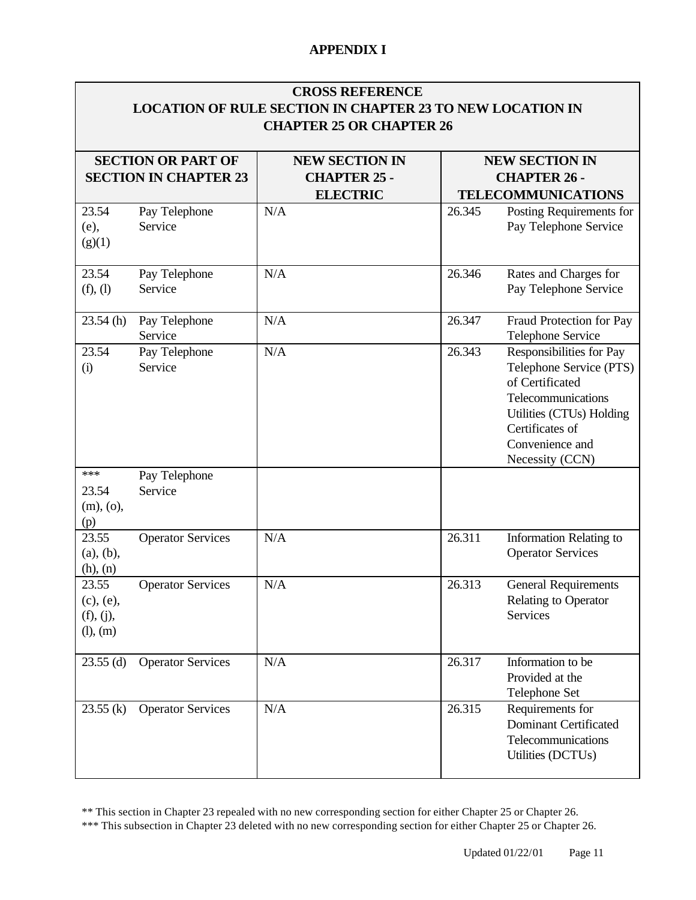| <b>CROSS REFERENCE</b><br><b>LOCATION OF RULE SECTION IN CHAPTER 23 TO NEW LOCATION IN</b><br><b>CHAPTER 25 OR CHAPTER 26</b> |                                                           |                                                                 |        |                                                                                                                                                                                   |  |  |
|-------------------------------------------------------------------------------------------------------------------------------|-----------------------------------------------------------|-----------------------------------------------------------------|--------|-----------------------------------------------------------------------------------------------------------------------------------------------------------------------------------|--|--|
|                                                                                                                               | <b>SECTION OR PART OF</b><br><b>SECTION IN CHAPTER 23</b> | <b>NEW SECTION IN</b><br><b>CHAPTER 25 -</b><br><b>ELECTRIC</b> |        | <b>NEW SECTION IN</b><br><b>CHAPTER 26 -</b><br><b>TELECOMMUNICATIONS</b>                                                                                                         |  |  |
| 23.54<br>(e),<br>(g)(1)                                                                                                       | Pay Telephone<br>Service                                  | N/A                                                             | 26.345 | Posting Requirements for<br>Pay Telephone Service                                                                                                                                 |  |  |
| 23.54<br>(f), (l)                                                                                                             | Pay Telephone<br>Service                                  | N/A                                                             | 26.346 | Rates and Charges for<br>Pay Telephone Service                                                                                                                                    |  |  |
| 23.54(h)                                                                                                                      | Pay Telephone<br>Service                                  | N/A                                                             | 26.347 | Fraud Protection for Pay<br>Telephone Service                                                                                                                                     |  |  |
| 23.54<br>(i)                                                                                                                  | Pay Telephone<br>Service                                  | N/A                                                             | 26.343 | Responsibilities for Pay<br>Telephone Service (PTS)<br>of Certificated<br>Telecommunications<br>Utilities (CTUs) Holding<br>Certificates of<br>Convenience and<br>Necessity (CCN) |  |  |
| ***<br>23.54<br>(m), (o),<br>(p)                                                                                              | Pay Telephone<br>Service                                  |                                                                 |        |                                                                                                                                                                                   |  |  |
| 23.55<br>(a), (b),<br>(h), (n)                                                                                                | <b>Operator Services</b>                                  | N/A                                                             | 26.311 | <b>Information Relating to</b><br><b>Operator Services</b>                                                                                                                        |  |  |
| 23.55<br>(c), (e),<br>(f), (j),<br>(l), (m)                                                                                   | <b>Operator Services</b>                                  | N/A                                                             | 26.313 | <b>General Requirements</b><br>Relating to Operator<br>Services                                                                                                                   |  |  |
| $23.55$ (d)                                                                                                                   | <b>Operator Services</b>                                  | N/A                                                             | 26.317 | Information to be<br>Provided at the<br>Telephone Set                                                                                                                             |  |  |
| 23.55(k)                                                                                                                      | <b>Operator Services</b>                                  | N/A                                                             | 26.315 | Requirements for<br><b>Dominant Certificated</b><br>Telecommunications<br>Utilities (DCTUs)                                                                                       |  |  |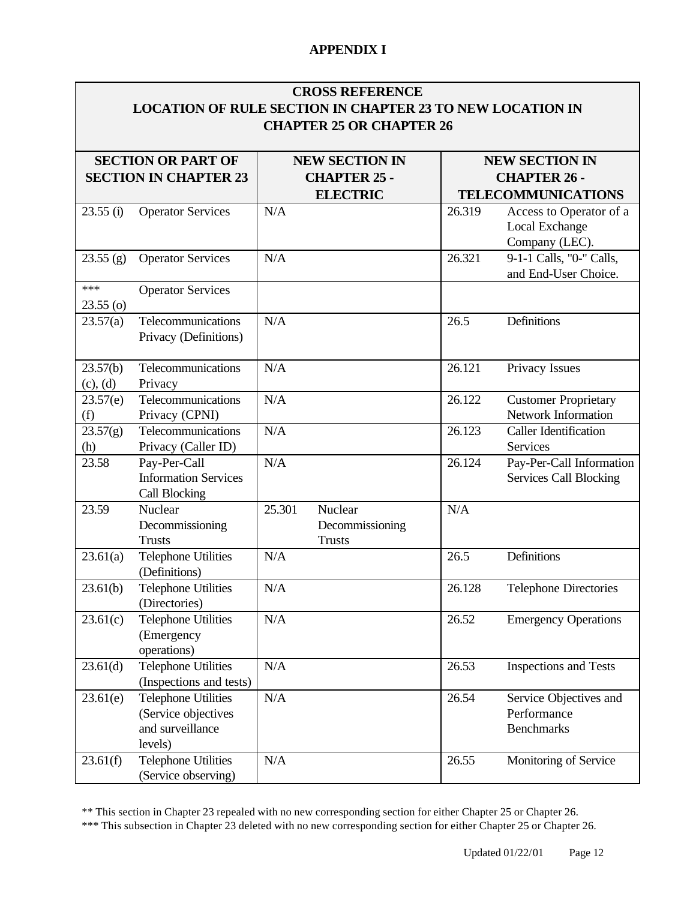### **CROSS REFERENCE LOCATION OF RULE SECTION IN CHAPTER 23 TO NEW LOCATION IN CHAPTER 25 OR CHAPTER 26**

|             | <b>SECTION OR PART OF</b>                   | <b>NEW SECTION IN</b> |                 |        | <b>NEW SECTION IN</b>        |  |
|-------------|---------------------------------------------|-----------------------|-----------------|--------|------------------------------|--|
|             | <b>SECTION IN CHAPTER 23</b>                | <b>CHAPTER 25 -</b>   |                 |        | <b>CHAPTER 26 -</b>          |  |
|             |                                             |                       | <b>ELECTRIC</b> |        | <b>TELECOMMUNICATIONS</b>    |  |
| 23.55(i)    | <b>Operator Services</b>                    | N/A                   |                 | 26.319 | Access to Operator of a      |  |
|             |                                             |                       |                 |        | Local Exchange               |  |
|             |                                             |                       |                 |        | Company (LEC).               |  |
| 23.55(g)    | <b>Operator Services</b>                    | N/A                   |                 | 26.321 | 9-1-1 Calls, "0-" Calls,     |  |
|             |                                             |                       |                 |        | and End-User Choice.         |  |
| ***         | <b>Operator Services</b>                    |                       |                 |        |                              |  |
| $23.55$ (o) |                                             |                       |                 |        |                              |  |
| 23.57(a)    | Telecommunications                          | N/A                   |                 | 26.5   | Definitions                  |  |
|             | Privacy (Definitions)                       |                       |                 |        |                              |  |
|             |                                             |                       |                 |        |                              |  |
| 23.57(b)    | Telecommunications                          | N/A                   |                 | 26.121 | Privacy Issues               |  |
| (c), (d)    | Privacy                                     |                       |                 |        |                              |  |
| 23.57(e)    | Telecommunications                          | N/A                   |                 | 26.122 | <b>Customer Proprietary</b>  |  |
| (f)         | Privacy (CPNI)                              |                       |                 |        | Network Information          |  |
| 23.57(g)    | Telecommunications                          | N/A                   |                 | 26.123 | <b>Caller Identification</b> |  |
| (h)         | Privacy (Caller ID)                         |                       |                 |        | Services                     |  |
| 23.58       | Pay-Per-Call                                | N/A                   |                 | 26.124 | Pay-Per-Call Information     |  |
|             | <b>Information Services</b>                 |                       |                 |        | Services Call Blocking       |  |
|             | <b>Call Blocking</b>                        |                       |                 |        |                              |  |
| 23.59       | Nuclear                                     | 25.301                | Nuclear         | N/A    |                              |  |
|             | Decommissioning                             |                       | Decommissioning |        |                              |  |
|             | <b>Trusts</b>                               | N/A                   | <b>Trusts</b>   | 26.5   | Definitions                  |  |
| 23.61(a)    | <b>Telephone Utilities</b><br>(Definitions) |                       |                 |        |                              |  |
| 23.61(b)    | <b>Telephone Utilities</b>                  | N/A                   |                 | 26.128 | <b>Telephone Directories</b> |  |
|             | (Directories)                               |                       |                 |        |                              |  |
| 23.61(c)    | <b>Telephone Utilities</b>                  | N/A                   |                 | 26.52  | <b>Emergency Operations</b>  |  |
|             | (Emergency                                  |                       |                 |        |                              |  |
|             | operations)                                 |                       |                 |        |                              |  |
| 23.61(d)    | <b>Telephone Utilities</b>                  | N/A                   |                 | 26.53  | <b>Inspections and Tests</b> |  |
|             | (Inspections and tests)                     |                       |                 |        |                              |  |
| 23.61(e)    | <b>Telephone Utilities</b>                  | N/A                   |                 | 26.54  | Service Objectives and       |  |
|             | (Service objectives                         |                       |                 |        | Performance                  |  |
|             | and surveillance                            |                       |                 |        | <b>Benchmarks</b>            |  |
|             | levels)                                     |                       |                 |        |                              |  |
| 23.61(f)    | <b>Telephone Utilities</b>                  | N/A                   |                 | 26.55  | Monitoring of Service        |  |
|             | (Service observing)                         |                       |                 |        |                              |  |
|             |                                             |                       |                 |        |                              |  |

\*\* This section in Chapter 23 repealed with no new corresponding section for either Chapter 25 or Chapter 26.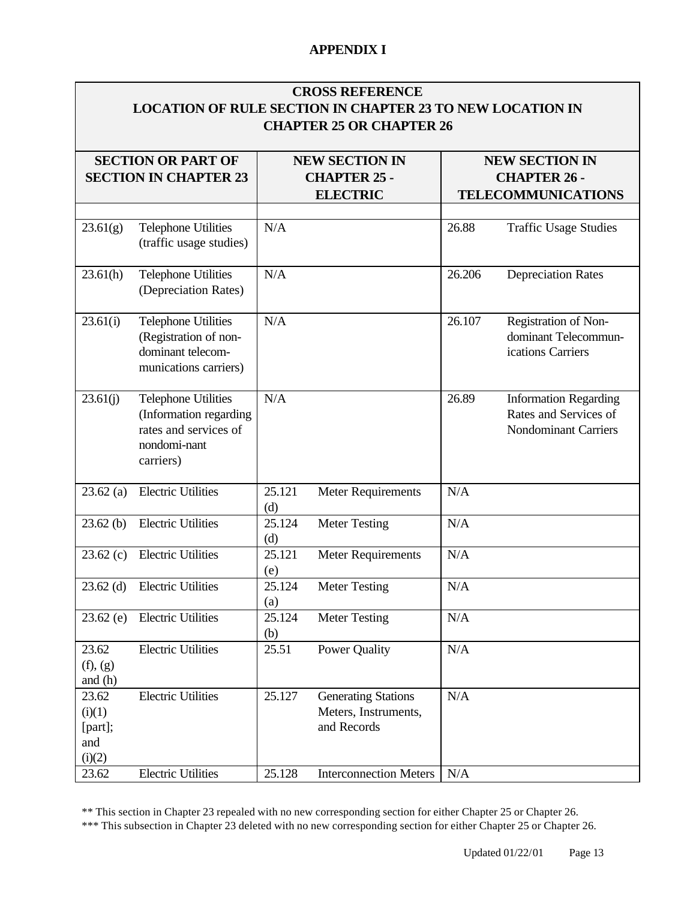| <b>CROSS REFERENCE</b><br><b>LOCATION OF RULE SECTION IN CHAPTER 23 TO NEW LOCATION IN</b><br><b>CHAPTER 25 OR CHAPTER 26</b> |                                                                                                            |                                                                 |                                                                   |                                                                           |                                                                                      |  |
|-------------------------------------------------------------------------------------------------------------------------------|------------------------------------------------------------------------------------------------------------|-----------------------------------------------------------------|-------------------------------------------------------------------|---------------------------------------------------------------------------|--------------------------------------------------------------------------------------|--|
|                                                                                                                               | <b>SECTION OR PART OF</b><br><b>SECTION IN CHAPTER 23</b>                                                  | <b>NEW SECTION IN</b><br><b>CHAPTER 25 -</b><br><b>ELECTRIC</b> |                                                                   | <b>NEW SECTION IN</b><br><b>CHAPTER 26 -</b><br><b>TELECOMMUNICATIONS</b> |                                                                                      |  |
| 23.61(g)                                                                                                                      | <b>Telephone Utilities</b><br>(traffic usage studies)                                                      | N/A                                                             |                                                                   | 26.88                                                                     | <b>Traffic Usage Studies</b>                                                         |  |
| 23.61(h)                                                                                                                      | <b>Telephone Utilities</b><br>(Depreciation Rates)                                                         | N/A                                                             |                                                                   | 26.206                                                                    | <b>Depreciation Rates</b>                                                            |  |
| 23.61(i)                                                                                                                      | <b>Telephone Utilities</b><br>(Registration of non-<br>dominant telecom-<br>munications carriers)          | N/A                                                             |                                                                   | 26.107                                                                    | Registration of Non-<br>dominant Telecommun-<br>ications Carriers                    |  |
| 23.61(j)                                                                                                                      | <b>Telephone Utilities</b><br>(Information regarding<br>rates and services of<br>nondomi-nant<br>carriers) | N/A                                                             |                                                                   | 26.89                                                                     | <b>Information Regarding</b><br>Rates and Services of<br><b>Nondominant Carriers</b> |  |
| 23.62(a)                                                                                                                      | <b>Electric Utilities</b>                                                                                  | 25.121<br>(d)                                                   | Meter Requirements                                                | N/A                                                                       |                                                                                      |  |
| 23.62(b)                                                                                                                      | <b>Electric Utilities</b>                                                                                  | 25.124<br>(d)                                                   | <b>Meter Testing</b>                                              | N/A                                                                       |                                                                                      |  |
| 23.62(c)                                                                                                                      | <b>Electric Utilities</b>                                                                                  | 25.121<br>(e)                                                   | Meter Requirements                                                | N/A                                                                       |                                                                                      |  |
| $23.62$ (d)                                                                                                                   | <b>Electric Utilities</b>                                                                                  | 25.124<br>(a)                                                   | <b>Meter Testing</b>                                              | N/A                                                                       |                                                                                      |  |
| $23.62$ (e)                                                                                                                   | <b>Electric Utilities</b>                                                                                  | 25.124<br>(b)                                                   | Meter Testing                                                     | N/A                                                                       |                                                                                      |  |
| 23.62<br>(f), (g)<br>and $(h)$                                                                                                | <b>Electric Utilities</b>                                                                                  | 25.51                                                           | <b>Power Quality</b>                                              | N/A                                                                       |                                                                                      |  |
| 23.62<br>(i)(1)<br>[part];<br>and<br>(i)(2)                                                                                   | <b>Electric Utilities</b>                                                                                  | 25.127                                                          | <b>Generating Stations</b><br>Meters, Instruments,<br>and Records | N/A                                                                       |                                                                                      |  |
| 23.62                                                                                                                         | <b>Electric Utilities</b>                                                                                  | 25.128                                                          | <b>Interconnection Meters</b>                                     | N/A                                                                       |                                                                                      |  |

\*\* This section in Chapter 23 repealed with no new corresponding section for either Chapter 25 or Chapter 26.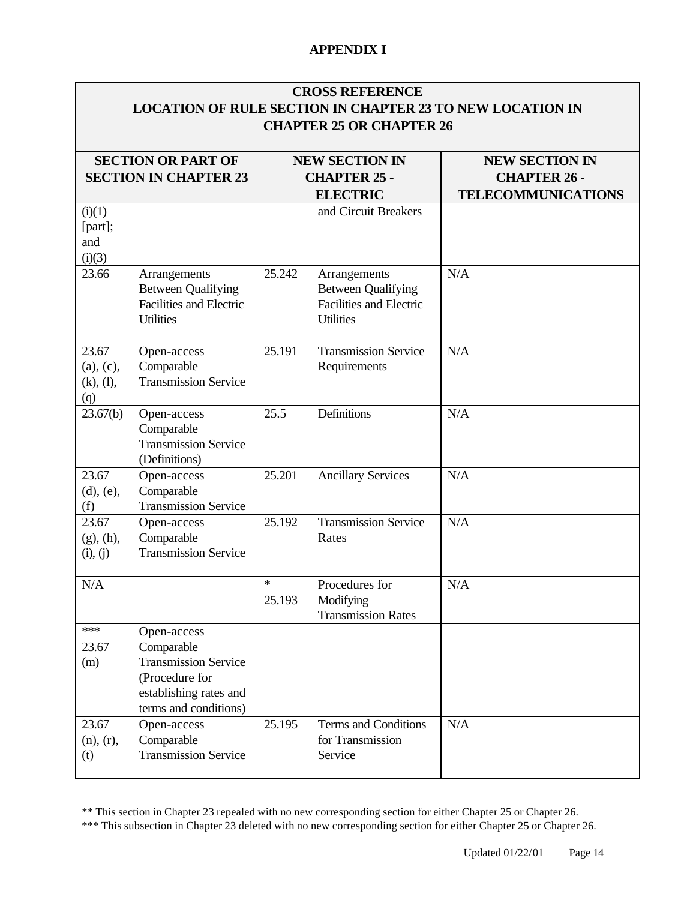| <b>CROSS REFERENCE</b><br><b>LOCATION OF RULE SECTION IN CHAPTER 23 TO NEW LOCATION IN</b><br><b>CHAPTER 25 OR CHAPTER 26</b> |                                                                                                                               |                                                                 |                                                                                                 |                                                                           |  |  |
|-------------------------------------------------------------------------------------------------------------------------------|-------------------------------------------------------------------------------------------------------------------------------|-----------------------------------------------------------------|-------------------------------------------------------------------------------------------------|---------------------------------------------------------------------------|--|--|
| <b>SECTION OR PART OF</b><br><b>SECTION IN CHAPTER 23</b>                                                                     |                                                                                                                               | <b>NEW SECTION IN</b><br><b>CHAPTER 25 -</b><br><b>ELECTRIC</b> |                                                                                                 | <b>NEW SECTION IN</b><br><b>CHAPTER 26 -</b><br><b>TELECOMMUNICATIONS</b> |  |  |
| (i)(1)<br>[part];<br>and<br>(i)(3)                                                                                            |                                                                                                                               |                                                                 | and Circuit Breakers                                                                            |                                                                           |  |  |
| 23.66                                                                                                                         | Arrangements<br><b>Between Qualifying</b><br><b>Facilities and Electric</b><br><b>Utilities</b>                               | 25.242                                                          | Arrangements<br><b>Between Qualifying</b><br><b>Facilities and Electric</b><br><b>Utilities</b> | N/A                                                                       |  |  |
| 23.67<br>(a), (c),<br>(k), (l),<br>(q)                                                                                        | Open-access<br>Comparable<br><b>Transmission Service</b>                                                                      | 25.191                                                          | <b>Transmission Service</b><br>Requirements                                                     | N/A                                                                       |  |  |
| 23.67(b)                                                                                                                      | Open-access<br>Comparable<br><b>Transmission Service</b><br>(Definitions)                                                     | 25.5                                                            | Definitions                                                                                     | N/A                                                                       |  |  |
| 23.67<br>$(d)$ , $(e)$ ,<br>(f)                                                                                               | Open-access<br>Comparable<br><b>Transmission Service</b>                                                                      | 25.201                                                          | <b>Ancillary Services</b>                                                                       | N/A                                                                       |  |  |
| 23.67<br>(g), (h),<br>(i), (j)                                                                                                | Open-access<br>Comparable<br><b>Transmission Service</b>                                                                      | 25.192                                                          | <b>Transmission Service</b><br>Rates                                                            | N/A                                                                       |  |  |
| N/A                                                                                                                           |                                                                                                                               | $\ast$<br>25.193                                                | Procedures for<br>Modifying<br><b>Transmission Rates</b>                                        | N/A                                                                       |  |  |
| ***<br>23.67<br>(m)                                                                                                           | Open-access<br>Comparable<br><b>Transmission Service</b><br>(Procedure for<br>establishing rates and<br>terms and conditions) |                                                                 |                                                                                                 |                                                                           |  |  |
| 23.67<br>(n), (r),<br>(t)                                                                                                     | Open-access<br>Comparable<br><b>Transmission Service</b>                                                                      | 25.195                                                          | Terms and Conditions<br>for Transmission<br>Service                                             | N/A                                                                       |  |  |

\*\* This section in Chapter 23 repealed with no new corresponding section for either Chapter 25 or Chapter 26.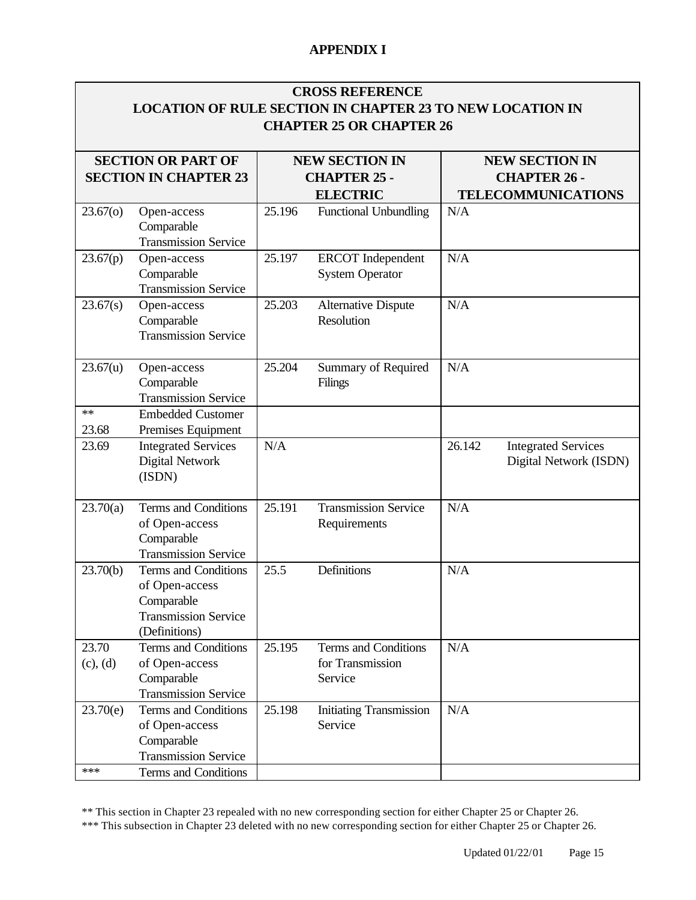## **CROSS REFERENCE LOCATION OF RULE SECTION IN CHAPTER 23 TO NEW LOCATION IN CHAPTER 25 OR CHAPTER 26**

| <b>SECTION OR PART OF</b> |                                                                                                             | <b>NEW SECTION IN</b> |                                                     |        | <b>NEW SECTION IN</b>                                |
|---------------------------|-------------------------------------------------------------------------------------------------------------|-----------------------|-----------------------------------------------------|--------|------------------------------------------------------|
|                           | <b>SECTION IN CHAPTER 23</b>                                                                                |                       | <b>CHAPTER 25 -</b>                                 |        | <b>CHAPTER 26 -</b>                                  |
|                           |                                                                                                             |                       | <b>ELECTRIC</b>                                     |        | <b>TELECOMMUNICATIONS</b>                            |
| 23.67(0)                  | Open-access<br>Comparable<br><b>Transmission Service</b>                                                    | 25.196                | <b>Functional Unbundling</b>                        | N/A    |                                                      |
| 23.67(p)                  | Open-access<br>Comparable<br><b>Transmission Service</b>                                                    | 25.197                | <b>ERCOT</b> Independent<br><b>System Operator</b>  | N/A    |                                                      |
| 23.67(s)                  | Open-access<br>Comparable<br><b>Transmission Service</b>                                                    | 25.203                | <b>Alternative Dispute</b><br>Resolution            | N/A    |                                                      |
| 23.67(u)                  | Open-access<br>Comparable<br><b>Transmission Service</b>                                                    | 25.204                | Summary of Required<br>Filings                      | N/A    |                                                      |
| **<br>23.68               | <b>Embedded Customer</b><br>Premises Equipment                                                              |                       |                                                     |        |                                                      |
| 23.69                     | <b>Integrated Services</b><br>Digital Network<br>(ISDN)                                                     | N/A                   |                                                     | 26.142 | <b>Integrated Services</b><br>Digital Network (ISDN) |
| 23.70(a)                  | Terms and Conditions<br>of Open-access<br>Comparable<br><b>Transmission Service</b>                         | 25.191                | <b>Transmission Service</b><br>Requirements         | N/A    |                                                      |
| 23.70(b)                  | Terms and Conditions<br>of Open-access<br>Comparable<br><b>Transmission Service</b><br>(Definitions)        | 25.5                  | Definitions                                         | N/A    |                                                      |
| 23.70<br>$(c)$ , $(d)$    | Terms and Conditions<br>of Open-access<br>Comparable<br><b>Transmission Service</b>                         | 25.195                | Terms and Conditions<br>for Transmission<br>Service | N/A    |                                                      |
| 23.70(e)<br>***           | Terms and Conditions<br>of Open-access<br>Comparable<br><b>Transmission Service</b><br>Terms and Conditions | 25.198                | <b>Initiating Transmission</b><br>Service           | N/A    |                                                      |

\*\* This section in Chapter 23 repealed with no new corresponding section for either Chapter 25 or Chapter 26.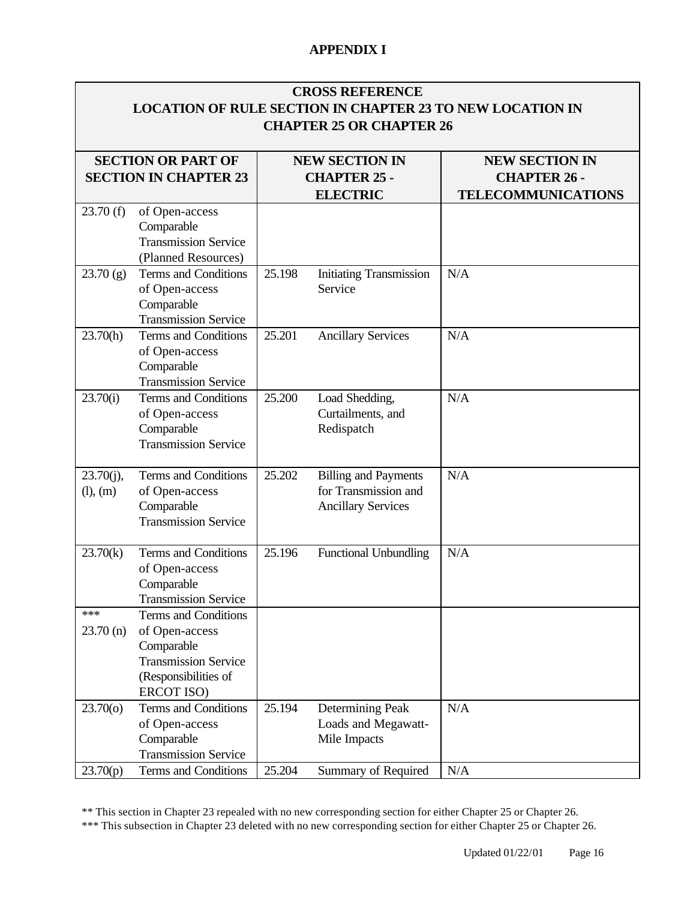| <b>CROSS REFERENCE</b><br><b>LOCATION OF RULE SECTION IN CHAPTER 23 TO NEW LOCATION IN</b><br><b>CHAPTER 25 OR CHAPTER 26</b> |                                                                                                                                  |                                                                 |                                                                                  |                                                                           |  |  |
|-------------------------------------------------------------------------------------------------------------------------------|----------------------------------------------------------------------------------------------------------------------------------|-----------------------------------------------------------------|----------------------------------------------------------------------------------|---------------------------------------------------------------------------|--|--|
|                                                                                                                               | <b>SECTION OR PART OF</b><br><b>SECTION IN CHAPTER 23</b>                                                                        | <b>NEW SECTION IN</b><br><b>CHAPTER 25 -</b><br><b>ELECTRIC</b> |                                                                                  | <b>NEW SECTION IN</b><br><b>CHAPTER 26 -</b><br><b>TELECOMMUNICATIONS</b> |  |  |
| 23.70(f)                                                                                                                      | of Open-access<br>Comparable<br><b>Transmission Service</b><br>(Planned Resources)                                               |                                                                 |                                                                                  |                                                                           |  |  |
| 23.70(g)                                                                                                                      | Terms and Conditions<br>of Open-access<br>Comparable<br><b>Transmission Service</b>                                              | 25.198                                                          | <b>Initiating Transmission</b><br>Service                                        | N/A                                                                       |  |  |
| 23.70(h)                                                                                                                      | Terms and Conditions<br>of Open-access<br>Comparable<br><b>Transmission Service</b>                                              | 25.201                                                          | <b>Ancillary Services</b>                                                        | N/A                                                                       |  |  |
| 23.70(i)                                                                                                                      | <b>Terms and Conditions</b><br>of Open-access<br>Comparable<br><b>Transmission Service</b>                                       | 25.200                                                          | Load Shedding,<br>Curtailments, and<br>Redispatch                                | N/A                                                                       |  |  |
| $23.70(j)$ ,<br>(l), (m)                                                                                                      | Terms and Conditions<br>of Open-access<br>Comparable<br><b>Transmission Service</b>                                              | 25.202                                                          | <b>Billing and Payments</b><br>for Transmission and<br><b>Ancillary Services</b> | N/A                                                                       |  |  |
| 23.70(k)                                                                                                                      | Terms and Conditions<br>of Open-access<br>Comparable<br><b>Transmission Service</b>                                              | 25.196                                                          | <b>Functional Unbundling</b>                                                     | N/A                                                                       |  |  |
| ***<br>$23.70$ (n)                                                                                                            | Terms and Conditions<br>of Open-access<br>Comparable<br><b>Transmission Service</b><br>(Responsibilities of<br><b>ERCOT ISO)</b> |                                                                 |                                                                                  |                                                                           |  |  |
| 23.70(0)                                                                                                                      | Terms and Conditions<br>of Open-access<br>Comparable<br><b>Transmission Service</b>                                              | 25.194                                                          | Determining Peak<br>Loads and Megawatt-<br>Mile Impacts                          | N/A                                                                       |  |  |
| 23.70(p)                                                                                                                      | Terms and Conditions                                                                                                             | 25.204                                                          | Summary of Required                                                              | N/A                                                                       |  |  |

\*\* This section in Chapter 23 repealed with no new corresponding section for either Chapter 25 or Chapter 26.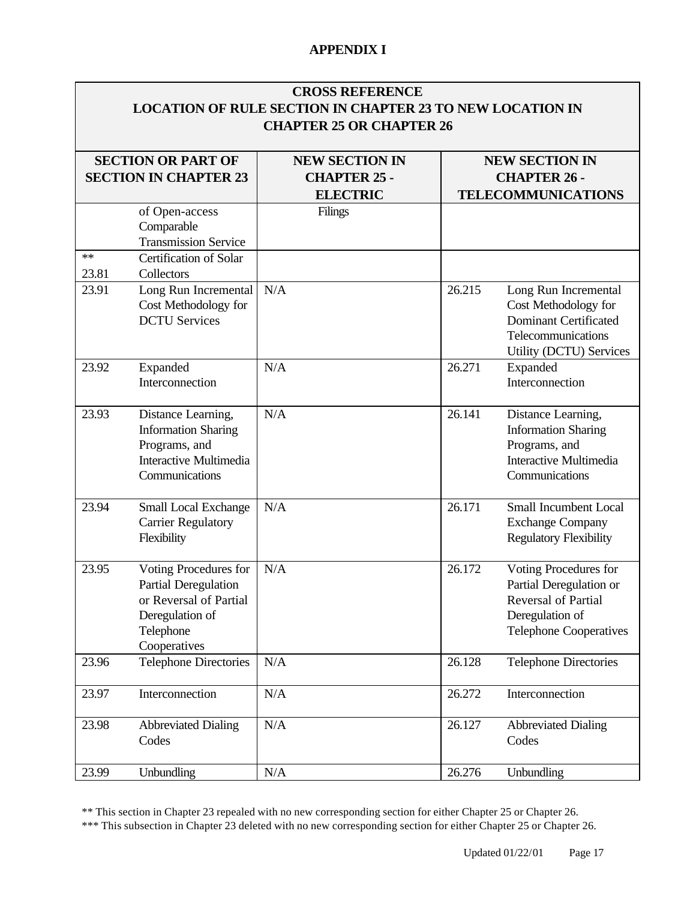# **CROSS REFERENCE LOCATION OF RULE SECTION IN CHAPTER 23 TO NEW LOCATION IN CHAPTER 25 OR CHAPTER 26**

|               | <b>SECTION OR PART OF</b><br><b>SECTION IN CHAPTER 23</b>                                                               | <b>NEW SECTION IN</b><br><b>CHAPTER 25 -</b><br><b>ELECTRIC</b> |        | <b>NEW SECTION IN</b><br><b>CHAPTER 26 -</b><br><b>TELECOMMUNICATIONS</b>                                                          |  |  |
|---------------|-------------------------------------------------------------------------------------------------------------------------|-----------------------------------------------------------------|--------|------------------------------------------------------------------------------------------------------------------------------------|--|--|
|               | of Open-access<br>Comparable<br><b>Transmission Service</b>                                                             | Filings                                                         |        |                                                                                                                                    |  |  |
| $**$<br>23.81 | Certification of Solar<br>Collectors                                                                                    |                                                                 |        |                                                                                                                                    |  |  |
| 23.91         | Long Run Incremental<br>Cost Methodology for<br><b>DCTU</b> Services                                                    | N/A                                                             | 26.215 | Long Run Incremental<br>Cost Methodology for<br><b>Dominant Certificated</b><br>Telecommunications<br>Utility (DCTU) Services      |  |  |
| 23.92         | Expanded<br>Interconnection                                                                                             | N/A                                                             | 26.271 | Expanded<br>Interconnection                                                                                                        |  |  |
| 23.93         | Distance Learning,<br><b>Information Sharing</b><br>Programs, and<br><b>Interactive Multimedia</b><br>Communications    | N/A                                                             | 26.141 | Distance Learning,<br><b>Information Sharing</b><br>Programs, and<br><b>Interactive Multimedia</b><br>Communications               |  |  |
| 23.94         | Small Local Exchange<br><b>Carrier Regulatory</b><br>Flexibility                                                        | N/A                                                             | 26.171 | <b>Small Incumbent Local</b><br><b>Exchange Company</b><br><b>Regulatory Flexibility</b>                                           |  |  |
| 23.95         | Voting Procedures for<br>Partial Deregulation<br>or Reversal of Partial<br>Deregulation of<br>Telephone<br>Cooperatives | N/A                                                             | 26.172 | Voting Procedures for<br>Partial Deregulation or<br><b>Reversal of Partial</b><br>Deregulation of<br><b>Telephone Cooperatives</b> |  |  |
| 23.96         | <b>Telephone Directories</b>                                                                                            | N/A                                                             | 26.128 | <b>Telephone Directories</b>                                                                                                       |  |  |
| 23.97         | Interconnection                                                                                                         | N/A                                                             | 26.272 | Interconnection                                                                                                                    |  |  |
| 23.98         | <b>Abbreviated Dialing</b><br>Codes                                                                                     | N/A                                                             | 26.127 | <b>Abbreviated Dialing</b><br>Codes                                                                                                |  |  |
| 23.99         | Unbundling                                                                                                              | N/A                                                             | 26.276 | Unbundling                                                                                                                         |  |  |

\*\* This section in Chapter 23 repealed with no new corresponding section for either Chapter 25 or Chapter 26.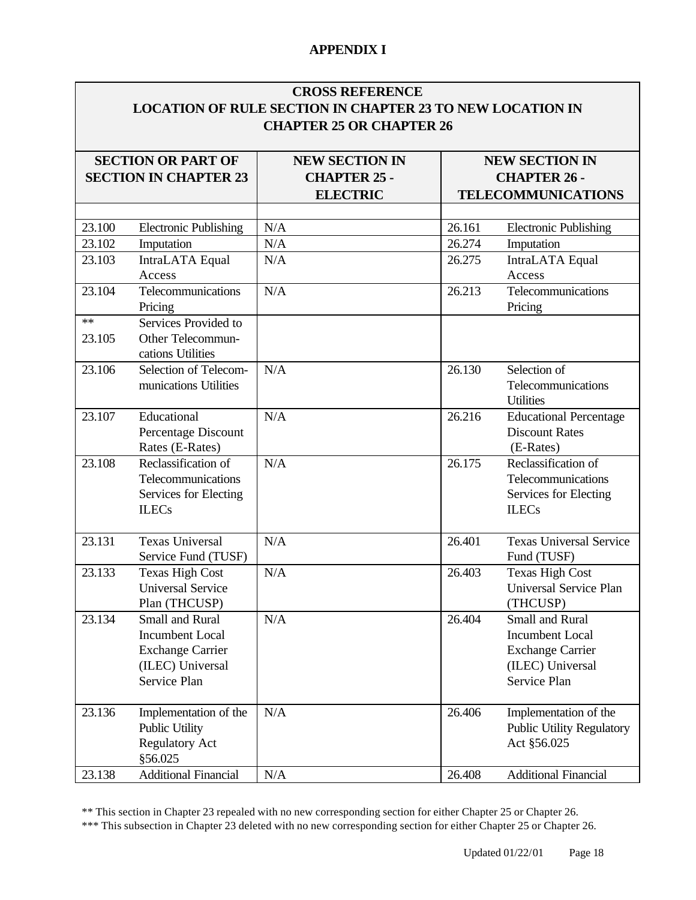#### **CROSS REFERENCE LOCATION OF RULE SECTION IN CHAPTER 23 TO NEW LOCATION IN CHAPTER 25 OR CHAPTER 26**

| <b>SECTION OR PART OF</b><br><b>SECTION IN CHAPTER 23</b> |                                       | <b>NEW SECTION IN</b><br><b>CHAPTER 25 -</b> |        | <b>NEW SECTION IN</b><br><b>CHAPTER 26 -</b> |
|-----------------------------------------------------------|---------------------------------------|----------------------------------------------|--------|----------------------------------------------|
|                                                           |                                       | <b>ELECTRIC</b>                              |        | <b>TELECOMMUNICATIONS</b>                    |
|                                                           |                                       |                                              |        |                                              |
| 23.100                                                    | <b>Electronic Publishing</b>          | N/A                                          | 26.161 | <b>Electronic Publishing</b>                 |
| 23.102                                                    | Imputation                            | N/A                                          | 26.274 | Imputation                                   |
| 23.103                                                    | IntraLATA Equal                       | N/A                                          | 26.275 | IntraLATA Equal                              |
|                                                           | Access                                |                                              |        | Access                                       |
| 23.104                                                    | Telecommunications<br>Pricing         | N/A                                          | 26.213 | Telecommunications<br>Pricing                |
| **                                                        | Services Provided to                  |                                              |        |                                              |
| 23.105                                                    | Other Telecommun-                     |                                              |        |                                              |
|                                                           | cations Utilities                     |                                              |        |                                              |
| 23.106                                                    | Selection of Telecom-                 | N/A                                          | 26.130 | Selection of                                 |
|                                                           | munications Utilities                 |                                              |        | Telecommunications                           |
|                                                           |                                       |                                              |        | <b>Utilities</b>                             |
| 23.107                                                    | Educational                           | N/A                                          | 26.216 | <b>Educational Percentage</b>                |
|                                                           | Percentage Discount                   |                                              |        | <b>Discount Rates</b>                        |
|                                                           | Rates (E-Rates)                       |                                              |        | (E-Rates)                                    |
| 23.108                                                    | Reclassification of                   | N/A                                          | 26.175 | Reclassification of                          |
|                                                           | Telecommunications                    |                                              |        | Telecommunications                           |
|                                                           | Services for Electing<br><b>ILECs</b> |                                              |        | Services for Electing<br><b>ILECs</b>        |
|                                                           |                                       |                                              |        |                                              |
| 23.131                                                    | <b>Texas Universal</b>                | N/A                                          | 26.401 | <b>Texas Universal Service</b>               |
|                                                           | Service Fund (TUSF)                   |                                              |        | Fund (TUSF)                                  |
| 23.133                                                    | <b>Texas High Cost</b>                | N/A                                          | 26.403 | <b>Texas High Cost</b>                       |
|                                                           | <b>Universal Service</b>              |                                              |        | Universal Service Plan                       |
|                                                           | Plan (THCUSP)                         |                                              |        | (THCUSP)                                     |
| 23.134                                                    | Small and Rural                       | N/A                                          | 26.404 | <b>Small and Rural</b>                       |
|                                                           | <b>Incumbent Local</b>                |                                              |        | <b>Incumbent Local</b>                       |
|                                                           | <b>Exchange Carrier</b>               |                                              |        | <b>Exchange Carrier</b>                      |
|                                                           | (ILEC) Universal                      |                                              |        | (ILEC) Universal                             |
|                                                           | Service Plan                          |                                              |        | Service Plan                                 |
| 23.136                                                    | Implementation of the                 | N/A                                          | 26.406 | Implementation of the                        |
|                                                           | <b>Public Utility</b>                 |                                              |        | <b>Public Utility Regulatory</b>             |
|                                                           | <b>Regulatory Act</b>                 |                                              |        | Act §56.025                                  |
|                                                           | §56.025                               |                                              |        |                                              |
| 23.138                                                    | <b>Additional Financial</b>           | N/A                                          | 26.408 | <b>Additional Financial</b>                  |

\*\* This section in Chapter 23 repealed with no new corresponding section for either Chapter 25 or Chapter 26.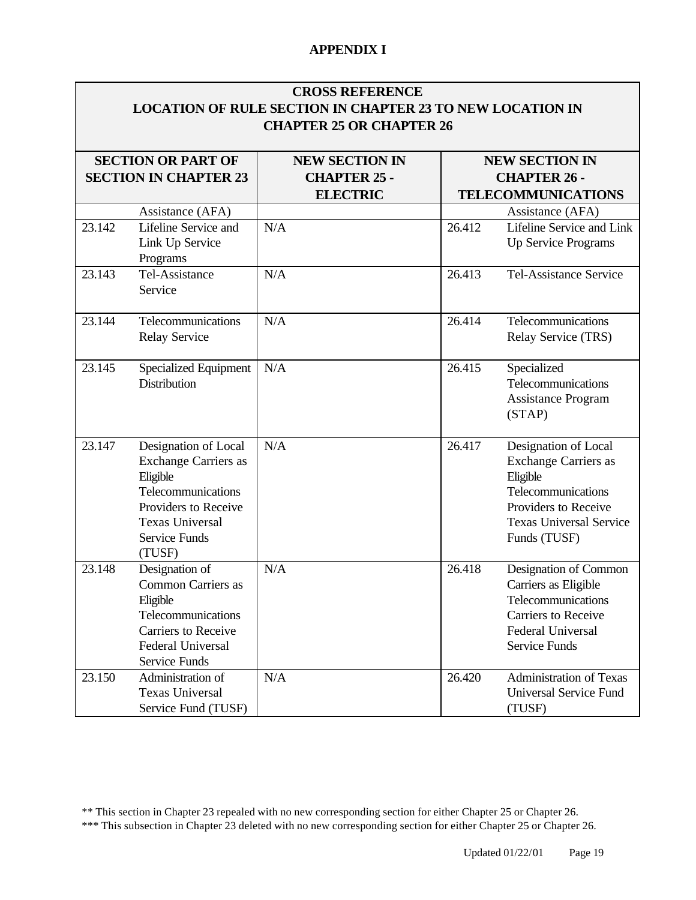|        | <b>CROSS REFERENCE</b><br><b>LOCATION OF RULE SECTION IN CHAPTER 23 TO NEW LOCATION IN</b>                                                                                |                       |        |                                                                                                                                                                 |  |  |  |
|--------|---------------------------------------------------------------------------------------------------------------------------------------------------------------------------|-----------------------|--------|-----------------------------------------------------------------------------------------------------------------------------------------------------------------|--|--|--|
|        | <b>CHAPTER 25 OR CHAPTER 26</b>                                                                                                                                           |                       |        |                                                                                                                                                                 |  |  |  |
|        | <b>SECTION OR PART OF</b>                                                                                                                                                 | <b>NEW SECTION IN</b> |        | <b>NEW SECTION IN</b>                                                                                                                                           |  |  |  |
|        | <b>SECTION IN CHAPTER 23</b>                                                                                                                                              | <b>CHAPTER 25 -</b>   |        | <b>CHAPTER 26 -</b>                                                                                                                                             |  |  |  |
|        |                                                                                                                                                                           | <b>ELECTRIC</b>       |        | <b>TELECOMMUNICATIONS</b>                                                                                                                                       |  |  |  |
|        | Assistance (AFA)                                                                                                                                                          |                       |        | Assistance (AFA)                                                                                                                                                |  |  |  |
| 23.142 | Lifeline Service and<br>Link Up Service<br>Programs                                                                                                                       | N/A                   | 26.412 | Lifeline Service and Link<br>Up Service Programs                                                                                                                |  |  |  |
| 23.143 | Tel-Assistance<br>Service                                                                                                                                                 | N/A                   | 26.413 | <b>Tel-Assistance Service</b>                                                                                                                                   |  |  |  |
| 23.144 | Telecommunications<br><b>Relay Service</b>                                                                                                                                | N/A                   | 26.414 | Telecommunications<br>Relay Service (TRS)                                                                                                                       |  |  |  |
| 23.145 | <b>Specialized Equipment</b><br><b>Distribution</b>                                                                                                                       | N/A                   | 26.415 | Specialized<br>Telecommunications<br><b>Assistance Program</b><br>(STAP)                                                                                        |  |  |  |
| 23.147 | Designation of Local<br><b>Exchange Carriers as</b><br>Eligible<br>Telecommunications<br>Providers to Receive<br><b>Texas Universal</b><br><b>Service Funds</b><br>(TUSF) | N/A                   | 26.417 | Designation of Local<br><b>Exchange Carriers as</b><br>Eligible<br>Telecommunications<br>Providers to Receive<br><b>Texas Universal Service</b><br>Funds (TUSF) |  |  |  |
| 23.148 | Designation of<br><b>Common Carriers as</b><br>Eligible<br>Telecommunications<br><b>Carriers to Receive</b><br><b>Federal Universal</b><br><b>Service Funds</b>           | N/A                   | 26.418 | Designation of Common<br>Carriers as Eligible<br>Telecommunications<br><b>Carriers to Receive</b><br><b>Federal Universal</b><br><b>Service Funds</b>           |  |  |  |
| 23.150 | Administration of<br><b>Texas Universal</b><br>Service Fund (TUSF)                                                                                                        | N/A                   | 26.420 | <b>Administration of Texas</b><br><b>Universal Service Fund</b><br>(TUSF)                                                                                       |  |  |  |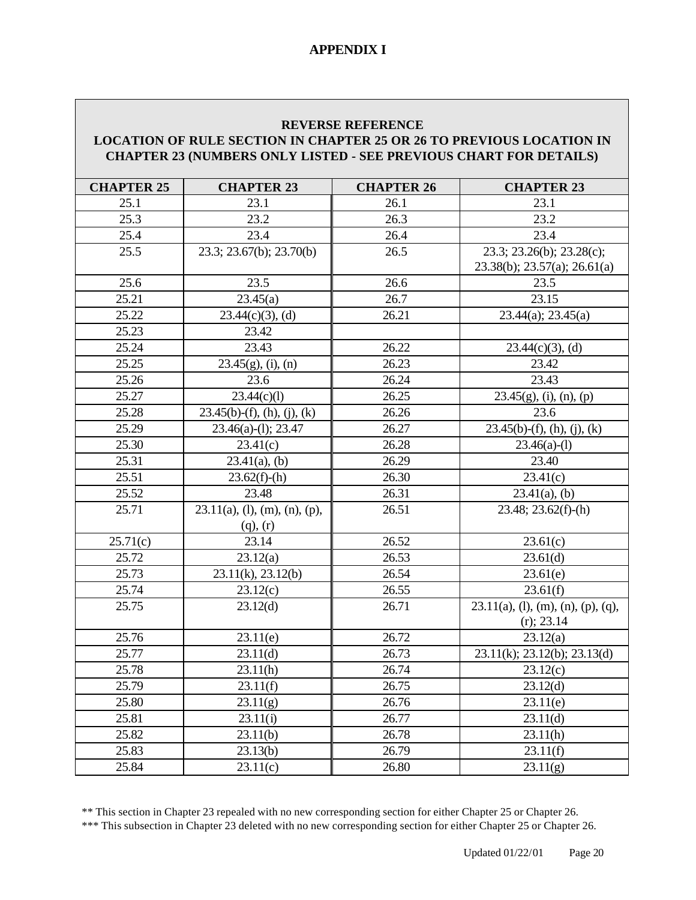#### **REVERSE REFERENCE**

#### **LOCATION OF RULE SECTION IN CHAPTER 25 OR 26 TO PREVIOUS LOCATION IN CHAPTER 23 (NUMBERS ONLY LISTED - SEE PREVIOUS CHART FOR DETAILS)**

| <b>CHAPTER 25</b> | <b>CHAPTER 23</b>                | <b>CHAPTER 26</b> | <b>CHAPTER 23</b>                     |
|-------------------|----------------------------------|-------------------|---------------------------------------|
| 25.1              | 23.1                             | 26.1              | 23.1                                  |
| 25.3              | 23.2                             | 26.3              | 23.2                                  |
| 25.4              | 23.4                             | 26.4              | 23.4                                  |
| 25.5              | 23.3; 23.67(b); 23.70(b)         | 26.5              | 23.3; 23.26(b); 23.28(c);             |
|                   |                                  |                   | $23.38(b)$ ; $23.57(a)$ ; $26.61(a)$  |
| 25.6              | 23.5                             | 26.6              | 23.5                                  |
| 25.21             | 23.45(a)                         | 26.7              | 23.15                                 |
| 25.22             | $23.44(c)(3)$ , (d)              | 26.21             | 23.44(a); 23.45(a)                    |
| 25.23             | 23.42                            |                   |                                       |
| 25.24             | 23.43                            | 26.22             | $23.44(c)(3)$ , (d)                   |
| 25.25             | $23.45(g)$ , (i), (n)            | 26.23             | 23.42                                 |
| 25.26             | 23.6                             | 26.24             | 23.43                                 |
| 25.27             | 23.44(c)(1)                      | 26.25             | $23.45(g)$ , (i), (n), (p)            |
| 25.28             | $23.45(b)-(f)$ , (h), (j), (k)   | 26.26             | 23.6                                  |
| 25.29             | 23.46(a)-(l); 23.47              | 26.27             | $23.45(b)-(f), (h), (j), (k)$         |
| 25.30             | 23.41(c)                         | 26.28             | $23.46(a)-(1)$                        |
| 25.31             | $23.41(a)$ , (b)                 | 26.29             | 23.40                                 |
| 25.51             | $23.62(f)-(h)$                   | 26.30             | 23.41(c)                              |
| 25.52             | 23.48                            | 26.31             | $23.41(a)$ , (b)                      |
| 25.71             | $23.11(a)$ , (1), (m), (n), (p), | 26.51             | 23.48; 23.62(f)-(h)                   |
|                   | $(q)$ , $(r)$                    |                   |                                       |
| 25.71(c)          | 23.14                            | 26.52             | 23.61(c)                              |
| 25.72             | 23.12(a)                         | 26.53             | 23.61(d)                              |
| 25.73             | 23.11(k), 23.12(b)               | 26.54             | 23.61(e)                              |
| 25.74             | 23.12(c)                         | 26.55             | 23.61(f)                              |
| 25.75             | 23.12(d)                         | 26.71             | $23.11(a)$ , (l), (m), (n), (p), (q), |
|                   |                                  |                   | $(r)$ ; 23.14                         |
| 25.76             | 23.11(e)                         | 26.72             | 23.12(a)                              |
| 25.77             | 23.11(d)                         | 26.73             | 23.11(k); 23.12(b); 23.13(d)          |
| 25.78             | 23.11(h)                         | 26.74             | 23.12(c)                              |
| 25.79             | 23.11(f)                         | 26.75             | 23.12(d)                              |
| 25.80             | 23.11(g)                         | 26.76             | 23.11(e)                              |
| 25.81             | 23.11(i)                         | 26.77             | 23.11(d)                              |
| 25.82             | 23.11(b)                         | 26.78             | 23.11(h)                              |
| 25.83             | 23.13(b)                         | 26.79             | 23.11(f)                              |
| 25.84             | 23.11(c)                         | 26.80             | 23.11(g)                              |

\*\* This section in Chapter 23 repealed with no new corresponding section for either Chapter 25 or Chapter 26.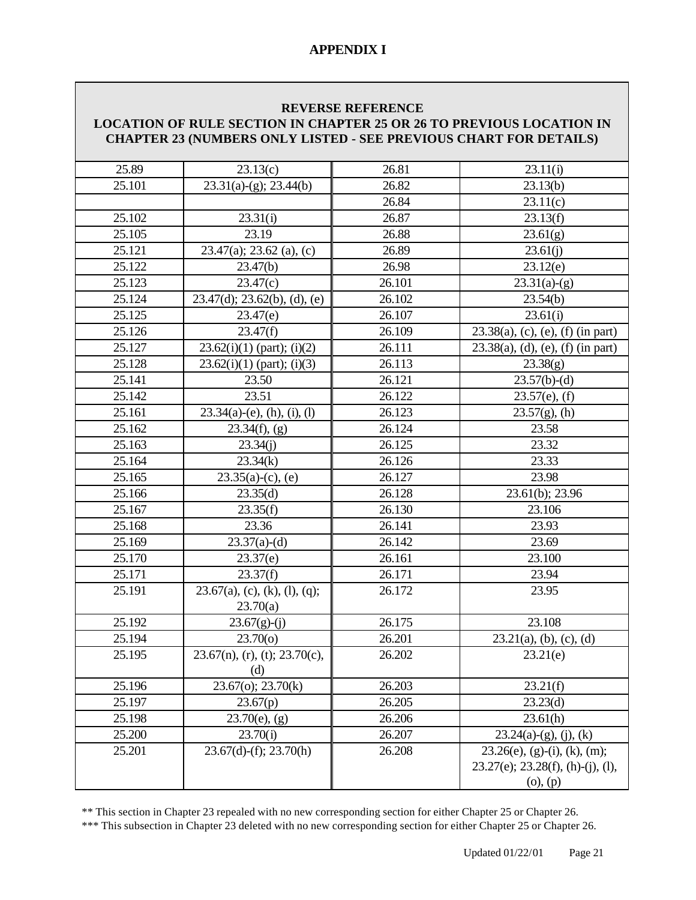#### **REVERSE REFERENCE**

#### **LOCATION OF RULE SECTION IN CHAPTER 25 OR 26 TO PREVIOUS LOCATION IN CHAPTER 23 (NUMBERS ONLY LISTED - SEE PREVIOUS CHART FOR DETAILS)**

| 25.89  | 23.13(c)                                   | 26.81  | 23.11(i)                                                                               |
|--------|--------------------------------------------|--------|----------------------------------------------------------------------------------------|
| 25.101 | $23.31(a)-(g)$ ; 23.44(b)                  | 26.82  | 23.13(b)                                                                               |
|        |                                            | 26.84  | 23.11(c)                                                                               |
| 25.102 | 23.31(i)                                   | 26.87  | 23.13(f)                                                                               |
| 25.105 | 23.19                                      | 26.88  | 23.61(g)                                                                               |
| 25.121 | $23.47(a)$ ; 23.62 (a), (c)                | 26.89  | 23.61(j)                                                                               |
| 25.122 | 23.47(b)                                   | 26.98  | 23.12(e)                                                                               |
| 25.123 | 23.47(c)                                   | 26.101 | $23.31(a)-(g)$                                                                         |
| 25.124 | $23.47(d)$ ; $23.62(b)$ , (d), (e)         | 26.102 | 23.54(b)                                                                               |
| 25.125 | 23.47(e)                                   | 26.107 | 23.61(i)                                                                               |
| 25.126 | 23.47(f)                                   | 26.109 | $23.38(a)$ , (c), (e), (f) (in part)                                                   |
| 25.127 | $23.62(i)(1)$ (part); (i)(2)               | 26.111 | $23.38(a)$ , (d), (e), (f) (in part)                                                   |
| 25.128 | $23.62(i)(1)$ (part); (i)(3)               | 26.113 | 23.38(g)                                                                               |
| 25.141 | 23.50                                      | 26.121 | $23.57(b)-(d)$                                                                         |
| 25.142 | 23.51                                      | 26.122 | $23.57(e)$ , (f)                                                                       |
| 25.161 | $23.34(a)$ -(e), (h), (i), (l)             | 26.123 | $23.57(g)$ , (h)                                                                       |
| 25.162 | $23.34(f)$ , (g)                           | 26.124 | 23.58                                                                                  |
| 25.163 | 23.34(j)                                   | 26.125 | 23.32                                                                                  |
| 25.164 | 23.34(k)                                   | 26.126 | 23.33                                                                                  |
| 25.165 | $23.35(a)-(c)$ , (e)                       | 26.127 | 23.98                                                                                  |
| 25.166 | 23.35(d)                                   | 26.128 | $23.61(b)$ ; 23.96                                                                     |
| 25.167 | 23.35(f)                                   | 26.130 | 23.106                                                                                 |
| 25.168 | 23.36                                      | 26.141 | 23.93                                                                                  |
| 25.169 | $23.37(a)-(d)$                             | 26.142 | 23.69                                                                                  |
| 25.170 | 23.37(e)                                   | 26.161 | 23.100                                                                                 |
| 25.171 | 23.37(f)                                   | 26.171 | 23.94                                                                                  |
| 25.191 | 23.67(a), (c), (k), (l), (q);<br>23.70(a)  | 26.172 | 23.95                                                                                  |
| 25.192 | $23.67(g)-(j)$                             | 26.175 | 23.108                                                                                 |
| 25.194 | 23.70(0)                                   | 26.201 | $23.21(a)$ , (b), (c), (d)                                                             |
| 25.195 | $23.67(n)$ , (r), (t); $23.70(c)$ ,<br>(d) | 26.202 | 23.21(e)                                                                               |
| 25.196 | 23.67(o); 23.70(k)                         | 26.203 | 23.21(f)                                                                               |
| 25.197 | 23.67(p)                                   | 26.205 | 23.23(d)                                                                               |
| 25.198 | $23.70(e)$ , (g)                           | 26.206 | 23.61(h)                                                                               |
| 25.200 | 23.70(i)                                   | 26.207 | $23.24(a)-(g), (j), (k)$                                                               |
| 25.201 | $23.67(d)-(f); 23.70(h)$                   | 26.208 | $23.26(e)$ , (g)-(i), (k), (m);<br>$23.27(e)$ ; $23.28(f)$ , (h)-(j), (l),<br>(o), (p) |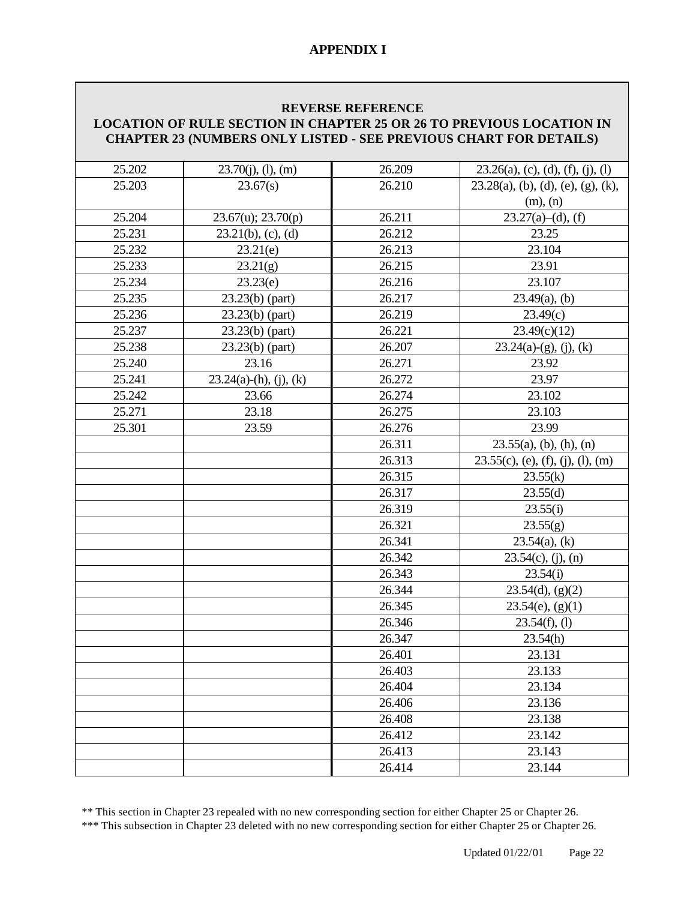#### **REVERSE REFERENCE LOCATION OF RULE SECTION IN CHAPTER 25 OR 26 TO PREVIOUS LOCATION IN CHAPTER 23 (NUMBERS ONLY LISTED - SEE PREVIOUS CHART FOR DETAILS)**

| 25.202 | $23.70(j)$ , (1), (m)    | 26.209 | $23.26(a)$ , (c), (d), (f), (j), (l)  |
|--------|--------------------------|--------|---------------------------------------|
| 25.203 | 23.67(s)                 | 26.210 | $23.28(a)$ , (b), (d), (e), (g), (k), |
|        |                          |        | (m), (n)                              |
| 25.204 | 23.67(u); 23.70(p)       | 26.211 | $23.27(a)–(d)$ , (f)                  |
| 25.231 | $23.21(b)$ , (c), (d)    | 26.212 | 23.25                                 |
| 25.232 | 23.21(e)                 | 26.213 | 23.104                                |
| 25.233 | 23.21(g)                 | 26.215 | 23.91                                 |
| 25.234 | 23.23(e)                 | 26.216 | 23.107                                |
| 25.235 | $23.23(b)$ (part)        | 26.217 | $23.49(a)$ , (b)                      |
| 25.236 | $23.23(b)$ (part)        | 26.219 | 23.49(c)                              |
| 25.237 | $23.23(b)$ (part)        | 26.221 | 23.49(c)(12)                          |
| 25.238 | $23.23(b)$ (part)        | 26.207 | $23.24(a)-(g)$ , (j), (k)             |
| 25.240 | 23.16                    | 26.271 | 23.92                                 |
| 25.241 | $23.24(a)-(h), (j), (k)$ | 26.272 | 23.97                                 |
| 25.242 | 23.66                    | 26.274 | 23.102                                |
| 25.271 | 23.18                    | 26.275 | 23.103                                |
| 25.301 | 23.59                    | 26.276 | 23.99                                 |
|        |                          | 26.311 | $23.55(a)$ , (b), (h), (n)            |
|        |                          | 26.313 | $23.55(c)$ , (e), (f), (j), (l), (m)  |
|        |                          | 26.315 | 23.55(k)                              |
|        |                          | 26.317 | 23.55(d)                              |
|        |                          | 26.319 | 23.55(i)                              |
|        |                          | 26.321 | 23.55(g)                              |
|        |                          | 26.341 | $23.54(a)$ , (k)                      |
|        |                          | 26.342 | $23.54(c)$ , (j), (n)                 |
|        |                          | 26.343 | 23.54(i)                              |
|        |                          | 26.344 | 23.54(d), (g)(2)                      |
|        |                          | 26.345 | $23.54(e)$ , (g)(1)                   |
|        |                          | 26.346 | 23.54(f), (1)                         |
|        |                          | 26.347 | 23.54(h)                              |
|        |                          | 26.401 | 23.131                                |
|        |                          | 26.403 | 23.133                                |
|        |                          | 26.404 | 23.134                                |
|        |                          | 26.406 | 23.136                                |
|        |                          | 26.408 | 23.138                                |
|        |                          | 26.412 | 23.142                                |
|        |                          | 26.413 | 23.143                                |
|        |                          | 26.414 | 23.144                                |